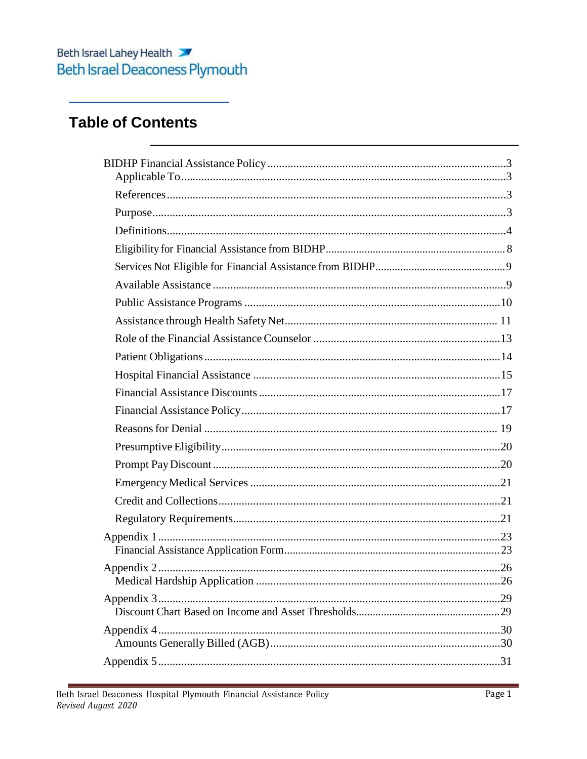## **Table of Contents**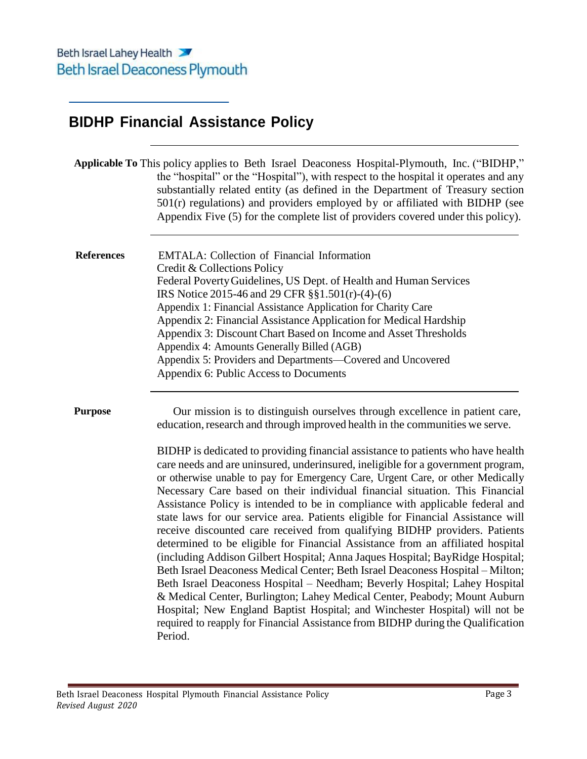## <span id="page-2-0"></span>**BIDHP Financial Assistance Policy**

|                   | Applicable To This policy applies to Beth Israel Deaconess Hospital-Plymouth, Inc. ("BIDHP,"<br>the "hospital" or the "Hospital"), with respect to the hospital it operates and any<br>substantially related entity (as defined in the Department of Treasury section<br>$501(r)$ regulations) and providers employed by or affiliated with BIDHP (see<br>Appendix Five (5) for the complete list of providers covered under this policy).                                                                                                                                                                                                                                                                                                                                                                                                                                                                                                                                                                                                                                                                                                                                                                                                                                                                                                              |
|-------------------|---------------------------------------------------------------------------------------------------------------------------------------------------------------------------------------------------------------------------------------------------------------------------------------------------------------------------------------------------------------------------------------------------------------------------------------------------------------------------------------------------------------------------------------------------------------------------------------------------------------------------------------------------------------------------------------------------------------------------------------------------------------------------------------------------------------------------------------------------------------------------------------------------------------------------------------------------------------------------------------------------------------------------------------------------------------------------------------------------------------------------------------------------------------------------------------------------------------------------------------------------------------------------------------------------------------------------------------------------------|
| <b>References</b> | <b>EMTALA:</b> Collection of Financial Information<br>Credit & Collections Policy<br>Federal Poverty Guidelines, US Dept. of Health and Human Services<br>IRS Notice 2015-46 and 29 CFR §§1.501(r)-(4)-(6)<br>Appendix 1: Financial Assistance Application for Charity Care<br>Appendix 2: Financial Assistance Application for Medical Hardship<br>Appendix 3: Discount Chart Based on Income and Asset Thresholds<br>Appendix 4: Amounts Generally Billed (AGB)<br>Appendix 5: Providers and Departments—Covered and Uncovered<br>Appendix 6: Public Access to Documents                                                                                                                                                                                                                                                                                                                                                                                                                                                                                                                                                                                                                                                                                                                                                                              |
| <b>Purpose</b>    | Our mission is to distinguish ourselves through excellence in patient care,<br>education, research and through improved health in the communities we serve.<br>BIDHP is dedicated to providing financial assistance to patients who have health<br>care needs and are uninsured, underinsured, ineligible for a government program,<br>or otherwise unable to pay for Emergency Care, Urgent Care, or other Medically<br>Necessary Care based on their individual financial situation. This Financial<br>Assistance Policy is intended to be in compliance with applicable federal and<br>state laws for our service area. Patients eligible for Financial Assistance will<br>receive discounted care received from qualifying BIDHP providers. Patients<br>determined to be eligible for Financial Assistance from an affiliated hospital<br>(including Addison Gilbert Hospital; Anna Jaques Hospital; BayRidge Hospital;<br>Beth Israel Deaconess Medical Center; Beth Israel Deaconess Hospital - Milton;<br>Beth Israel Deaconess Hospital - Needham; Beverly Hospital; Lahey Hospital<br>& Medical Center, Burlington; Lahey Medical Center, Peabody; Mount Auburn<br>Hospital; New England Baptist Hospital; and Winchester Hospital) will not be<br>required to reapply for Financial Assistance from BIDHP during the Qualification<br>Period. |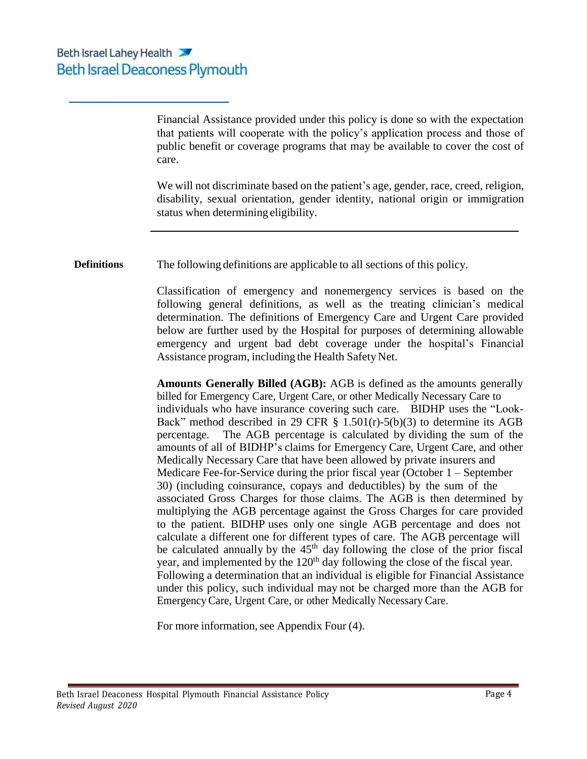Financial Assistance provided under this policy is done so with the expectation that patients will cooperate with the policy's application process and those of public benefit or coverage programs that may be available to cover the cost of care.

We will not discriminate based on the patient's age, gender, race, creed, religion, disability, sexual orientation, gender identity, national origin or immigration status when determining eligibility.

**Definitions** The following definitions are applicable to all sections of this policy.

Classification of emergency and nonemergency services is based on the following general definitions, as well as the treating clinician's medical determination. The definitions of Emergency Care and Urgent Care provided below are further used by the Hospital for purposes of determining allowable emergency and urgent bad debt coverage under the hospital's Financial Assistance program, including the Health Safety Net.

**Amounts Generally Billed (AGB):** AGB is defined as the amounts generally billed for Emergency Care, Urgent Care, or other Medically Necessary Care to individuals who have insurance covering such care. BIDHP uses the "Look-Back" method described in 29 CFR  $\S$  1.501(r)-5(b)(3) to determine its AGB percentage. The AGB percentage is calculated by dividing the sum of the amounts of all of BIDHP's claims for Emergency Care, Urgent Care, and other Medically Necessary Care that have been allowed by private insurers and Medicare Fee-for-Service during the prior fiscal year (October 1 – September 30) (including coinsurance, copays and deductibles) by the sum of the associated Gross Charges for those claims. The AGB is then determined by multiplying the AGB percentage against the Gross Charges for care provided to the patient. BIDHP uses only one single AGB percentage and does not calculate a different one for different types of care. The AGB percentage will be calculated annually by the  $45<sup>th</sup>$  day following the close of the prior fiscal year, and implemented by the  $120<sup>th</sup>$  day following the close of the fiscal year. Following a determination that an individual is eligible for Financial Assistance under this policy, such individual may not be charged more than the AGB for Emergency Care, Urgent Care, or other Medically Necessary Care.

For more information, see Appendix Four  $(4)$ .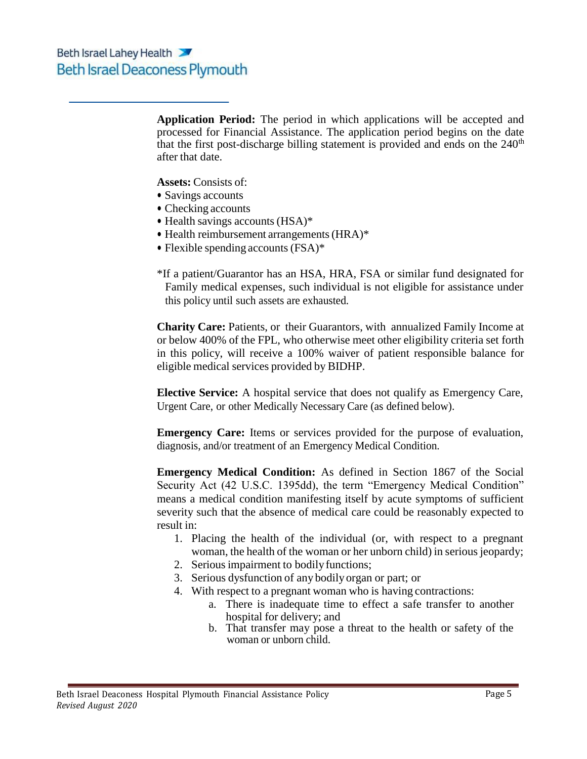**Application Period:** The period in which applications will be accepted and processed for Financial Assistance. The application period begins on the date that the first post-discharge billing statement is provided and ends on the  $240<sup>th</sup>$ after that date.

**Assets:** Consists of:

- Savings accounts
- Checking accounts
- Health savings accounts (HSA)\*
- Health reimbursement arrangements (HRA)\*
- Flexible spending accounts (FSA)\*
- \*If a patient/Guarantor has an HSA, HRA, FSA or similar fund designated for Family medical expenses, such individual is not eligible for assistance under this policy until such assets are exhausted.

**Charity Care:** Patients, or their Guarantors, with annualized Family Income at or below 400% of the FPL, who otherwise meet other eligibility criteria set forth in this policy, will receive a 100% waiver of patient responsible balance for eligible medical services provided by BIDHP.

**Elective Service:** A hospital service that does not qualify as Emergency Care, Urgent Care, or other Medically Necessary Care (as defined below).

**Emergency Care:** Items or services provided for the purpose of evaluation, diagnosis, and/or treatment of an Emergency Medical Condition.

**Emergency Medical Condition:** As defined in Section 1867 of the Social Security Act (42 U.S.C. 1395dd), the term "Emergency Medical Condition" means a medical condition manifesting itself by acute symptoms of sufficient severity such that the absence of medical care could be reasonably expected to result in:

- 1. Placing the health of the individual (or, with respect to a pregnant woman, the health of the woman or her unborn child) in serious jeopardy;
- 2. Serious impairment to bodily functions;
- 3. Serious dysfunction of any bodilyorgan or part; or
- 4. With respect to a pregnant woman who is having contractions:
	- a. There is inadequate time to effect a safe transfer to another hospital for delivery; and
	- b. That transfer may pose a threat to the health or safety of the woman or unborn child.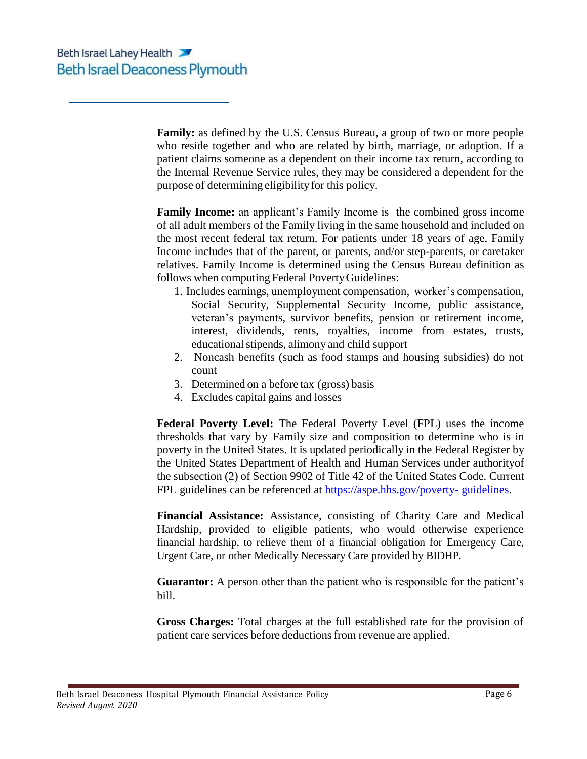**Family:** as defined by the U.S. Census Bureau, a group of two or more people who reside together and who are related by birth, marriage, or adoption. If a patient claims someone as a dependent on their income tax return, according to the Internal Revenue Service rules, they may be considered a dependent for the purpose of determining eligibilityfor this policy.

**Family Income:** an applicant's Family Income is the combined gross income of all adult members of the Family living in the same household and included on the most recent federal tax return. For patients under 18 years of age, Family Income includes that of the parent, or parents, and/or step-parents, or caretaker relatives. Family Income is determined using the Census Bureau definition as follows when computing Federal PovertyGuidelines:

- 1. Includes earnings, unemployment compensation, worker's compensation, Social Security, Supplemental Security Income, public assistance, veteran's payments, survivor benefits, pension or retirement income, interest, dividends, rents, royalties, income from estates, trusts, educational stipends, alimony and child support
- 2. Noncash benefits (such as food stamps and housing subsidies) do not count
- 3. Determined on a before tax (gross) basis
- 4. Excludes capital gains and losses

**Federal Poverty Level:** The Federal Poverty Level (FPL) uses the income thresholds that vary by Family size and composition to determine who is in poverty in the United States. It is updated periodically in the Federal Register by the United States Department of Health and Human Services under authorityof the subsection (2) of Section 9902 of Title 42 of the United States Code. Current FPL guidelines can be referenced at https://aspe.hhs.gov/poverty- guidelines.

**Financial Assistance:** Assistance, consisting of Charity Care and Medical Hardship, provided to eligible patients, who would otherwise experience financial hardship, to relieve them of a financial obligation for Emergency Care, Urgent Care, or other Medically Necessary Care provided by BIDHP.

Guarantor: A person other than the patient who is responsible for the patient's bill.

**Gross Charges:** Total charges at the full established rate for the provision of patient care services before deductionsfrom revenue are applied.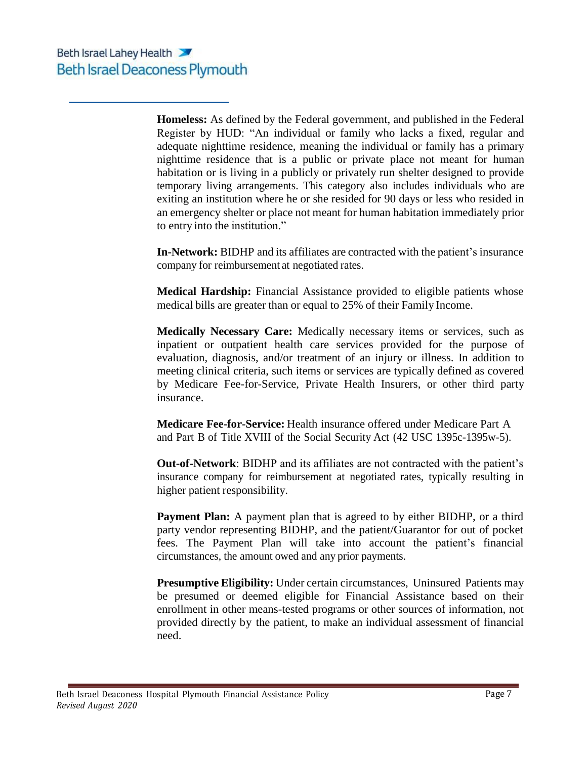**Homeless:** As defined by the Federal government, and published in the Federal Register by HUD: "An individual or family who lacks a fixed, regular and adequate nighttime residence, meaning the individual or family has a primary nighttime residence that is a public or private place not meant for human habitation or is living in a publicly or privately run shelter designed to provide temporary living arrangements. This category also includes individuals who are exiting an institution where he or she resided for 90 days or less who resided in an emergency shelter or place not meant for human habitation immediately prior to entry into the institution."

**In-Network:** BIDHP and its affiliates are contracted with the patient's insurance company for reimbursement at negotiated rates.

**Medical Hardship:** Financial Assistance provided to eligible patients whose medical bills are greater than or equal to 25% of their Family Income.

**Medically Necessary Care:** Medically necessary items or services, such as inpatient or outpatient health care services provided for the purpose of evaluation, diagnosis, and/or treatment of an injury or illness. In addition to meeting clinical criteria, such items or services are typically defined as covered by Medicare Fee-for-Service, Private Health Insurers, or other third party insurance.

**Medicare Fee-for-Service:** Health insurance offered under Medicare Part A and Part B of Title XVIII of the Social Security Act (42 USC 1395c-1395w-5).

**Out-of-Network**: BIDHP and its affiliates are not contracted with the patient's insurance company for reimbursement at negotiated rates, typically resulting in higher patient responsibility.

**Payment Plan:** A payment plan that is agreed to by either BIDHP, or a third party vendor representing BIDHP, and the patient/Guarantor for out of pocket fees. The Payment Plan will take into account the patient's financial circumstances, the amount owed and any prior payments.

**Presumptive Eligibility:** Under certain circumstances, Uninsured Patients may be presumed or deemed eligible for Financial Assistance based on their enrollment in other means-tested programs or other sources of information, not provided directly by the patient, to make an individual assessment of financial need.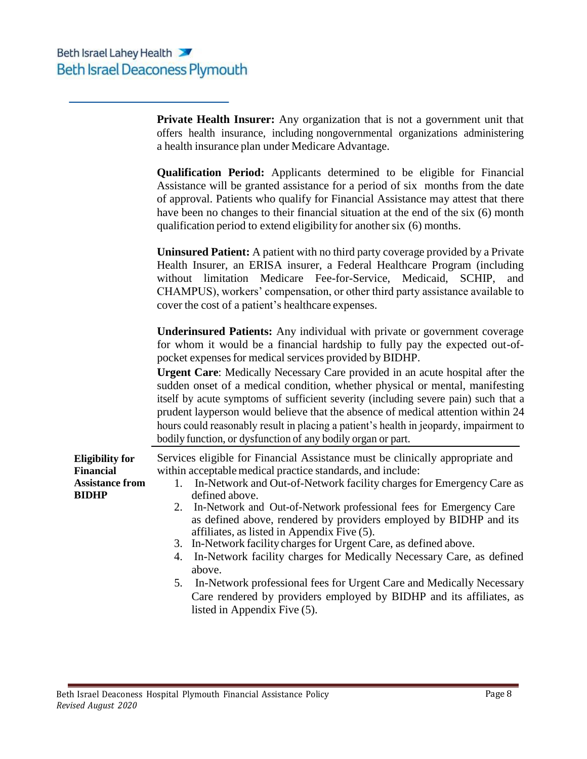**Eligibility for Financial Assistance from**

**BIDHP**

**Private Health Insurer:** Any organization that is not a government unit that offers health insurance, including nongovernmental organizations administering a health insurance plan under Medicare Advantage.

| <b>Qualification Period:</b> Applicants determined to be eligible for Financial   |  |  |  |  |
|-----------------------------------------------------------------------------------|--|--|--|--|
| Assistance will be granted assistance for a period of six months from the date    |  |  |  |  |
| of approval. Patients who qualify for Financial Assistance may attest that there  |  |  |  |  |
| have been no changes to their financial situation at the end of the six (6) month |  |  |  |  |
| qualification period to extend eligibility for another six (6) months.            |  |  |  |  |

**Uninsured Patient:** A patient with no third party coverage provided by a Private Health Insurer, an ERISA insurer, a Federal Healthcare Program (including without limitation Medicare Fee-for-Service, Medicaid, SCHIP, and CHAMPUS), workers' compensation, or other third party assistance available to cover the cost of a patient's healthcare expenses.

**Underinsured Patients:** Any individual with private or government coverage for whom it would be a financial hardship to fully pay the expected out-ofpocket expensesfor medical services provided by BIDHP.

**Urgent Care**: Medically Necessary Care provided in an acute hospital after the sudden onset of a medical condition, whether physical or mental, manifesting itself by acute symptoms of sufficient severity (including severe pain) such that a prudent layperson would believe that the absence of medical attention within 24 hours could reasonably result in placing a patient's health in jeopardy, impairment to bodily function, or dysfunction of any bodily organ or part.

Services eligible for Financial Assistance must be clinically appropriate and within acceptable medical practice standards, and include:

- 1. In-Network and Out-of-Network facility charges for Emergency Care as defined above.
- 2. In-Network and Out-of-Network professional fees for Emergency Care as defined above, rendered by providers employed by BIDHP and its affiliates, as listed in Appendix Five (5).
- 3. In-Network facilitycharges for Urgent Care, as defined above.
- 4. In-Network facility charges for Medically Necessary Care, as defined above.
- 5. In-Network professional fees for Urgent Care and Medically Necessary Care rendered by providers employed by BIDHP and its affiliates, as listed in Appendix Five (5).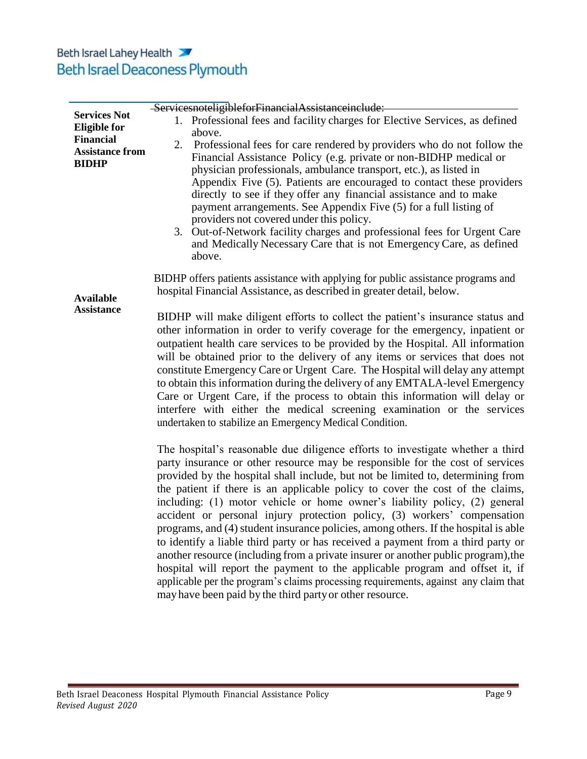|                                                            | ServicesnoteligibleforFinancialAssistanceinclude:                                                                                                                                                                                                                                                                                                                                                                                                                                                                                                                                                                                                                                                                                                                                                                                                                                                                                                                                                 |  |  |  |  |
|------------------------------------------------------------|---------------------------------------------------------------------------------------------------------------------------------------------------------------------------------------------------------------------------------------------------------------------------------------------------------------------------------------------------------------------------------------------------------------------------------------------------------------------------------------------------------------------------------------------------------------------------------------------------------------------------------------------------------------------------------------------------------------------------------------------------------------------------------------------------------------------------------------------------------------------------------------------------------------------------------------------------------------------------------------------------|--|--|--|--|
| <b>Services Not</b><br><b>Eligible for</b>                 | 1. Professional fees and facility charges for Elective Services, as defined<br>above.                                                                                                                                                                                                                                                                                                                                                                                                                                                                                                                                                                                                                                                                                                                                                                                                                                                                                                             |  |  |  |  |
| <b>Financial</b><br><b>Assistance from</b><br><b>BIDHP</b> | Professional fees for care rendered by providers who do not follow the<br>2.<br>Financial Assistance Policy (e.g. private or non-BIDHP medical or<br>physician professionals, ambulance transport, etc.), as listed in<br>Appendix Five (5). Patients are encouraged to contact these providers<br>directly to see if they offer any financial assistance and to make<br>payment arrangements. See Appendix Five (5) for a full listing of<br>providers not covered under this policy.<br>Out-of-Network facility charges and professional fees for Urgent Care<br>3.<br>and Medically Necessary Care that is not Emergency Care, as defined<br>above.                                                                                                                                                                                                                                                                                                                                            |  |  |  |  |
| <b>Available</b>                                           | BIDHP offers patients assistance with applying for public assistance programs and<br>hospital Financial Assistance, as described in greater detail, below.                                                                                                                                                                                                                                                                                                                                                                                                                                                                                                                                                                                                                                                                                                                                                                                                                                        |  |  |  |  |
| <b>Assistance</b>                                          | BIDHP will make diligent efforts to collect the patient's insurance status and<br>other information in order to verify coverage for the emergency, inpatient or<br>outpatient health care services to be provided by the Hospital. All information<br>will be obtained prior to the delivery of any items or services that does not<br>constitute Emergency Care or Urgent Care. The Hospital will delay any attempt<br>to obtain this information during the delivery of any EMTALA-level Emergency<br>Care or Urgent Care, if the process to obtain this information will delay or<br>interfere with either the medical screening examination or the services<br>undertaken to stabilize an Emergency Medical Condition.                                                                                                                                                                                                                                                                        |  |  |  |  |
|                                                            | The hospital's reasonable due diligence efforts to investigate whether a third<br>party insurance or other resource may be responsible for the cost of services<br>provided by the hospital shall include, but not be limited to, determining from<br>the patient if there is an applicable policy to cover the cost of the claims,<br>including: (1) motor vehicle or home owner's liability policy, (2) general<br>accident or personal injury protection policy, (3) workers' compensation<br>programs, and (4) student insurance policies, among others. If the hospital is able<br>to identify a liable third party or has received a payment from a third party or<br>another resource (including from a private insurer or another public program), the<br>hospital will report the payment to the applicable program and offset it, if<br>applicable per the program's claims processing requirements, against any claim that<br>may have been paid by the third party or other resource. |  |  |  |  |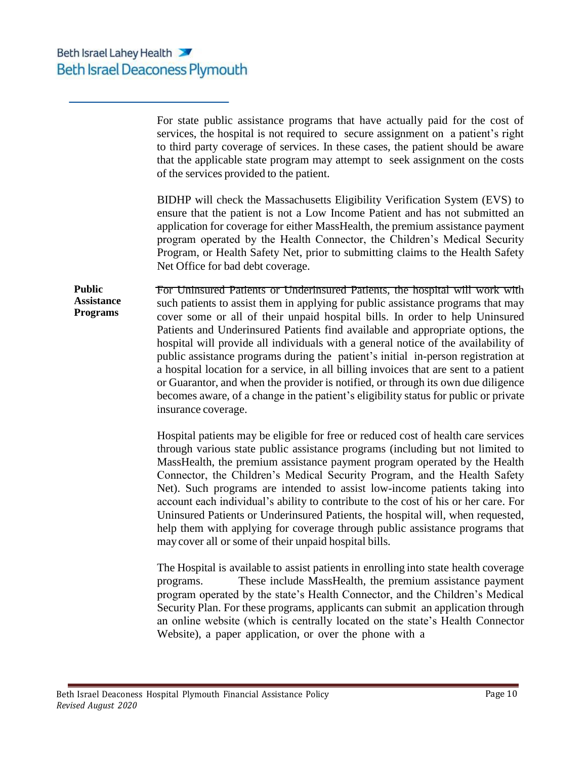For state public assistance programs that have actually paid for the cost of services, the hospital is not required to secure assignment on a patient's right to third party coverage of services. In these cases, the patient should be aware that the applicable state program may attempt to seek assignment on the costs of the services provided to the patient.

BIDHP will check the Massachusetts Eligibility Verification System (EVS) to ensure that the patient is not a Low Income Patient and has not submitted an application for coverage for either MassHealth, the premium assistance payment program operated by the Health Connector, the Children's Medical Security Program, or Health Safety Net, prior to submitting claims to the Health Safety Net Office for bad debt coverage.

**Public Assistance Programs** For Uninsured Patients or Underinsured Patients, the hospital will work with such patients to assist them in applying for public assistance programs that may cover some or all of their unpaid hospital bills. In order to help Uninsured Patients and Underinsured Patients find available and appropriate options, the hospital will provide all individuals with a general notice of the availability of public assistance programs during the patient's initial in-person registration at a hospital location for a service, in all billing invoices that are sent to a patient or Guarantor, and when the provider is notified, or through its own due diligence becomes aware, of a change in the patient's eligibility status for public or private insurance coverage.

> Hospital patients may be eligible for free or reduced cost of health care services through various state public assistance programs (including but not limited to MassHealth, the premium assistance payment program operated by the Health Connector, the Children's Medical Security Program, and the Health Safety Net). Such programs are intended to assist low-income patients taking into account each individual's ability to contribute to the cost of his or her care. For Uninsured Patients or Underinsured Patients, the hospital will, when requested, help them with applying for coverage through public assistance programs that maycover all or some of their unpaid hospital bills.

> The Hospital is available to assist patients in enrolling into state health coverage programs. These include MassHealth, the premium assistance payment program operated by the state's Health Connector, and the Children's Medical Security Plan. For these programs, applicants can submit an application through an online website (which is centrally located on the state's Health Connector Website), a paper application, or over the phone with a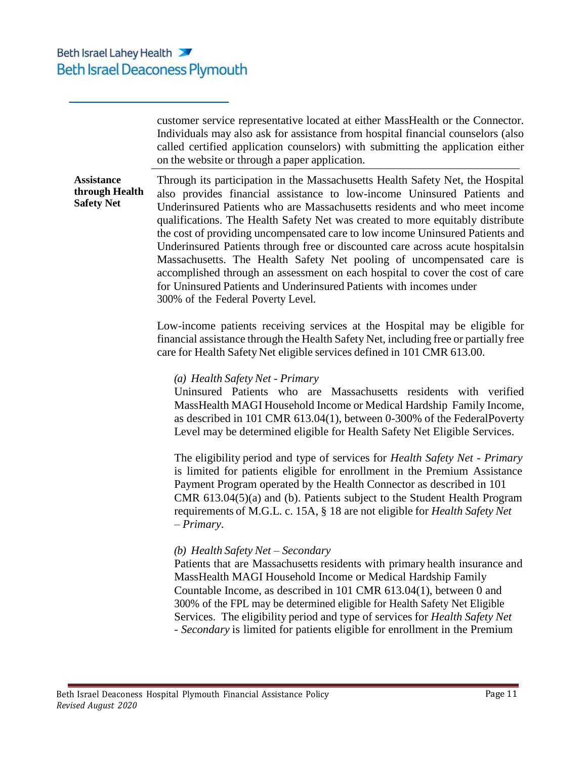customer service representative located at either MassHealth or the Connector. Individuals may also ask for assistance from hospital financial counselors (also called certified application counselors) with submitting the application either on the website or through a paper application.

**Assistance through Health Safety Net** Through its participation in the Massachusetts Health Safety Net, the Hospital also provides financial assistance to low-income Uninsured Patients and Underinsured Patients who are Massachusetts residents and who meet income qualifications. The Health Safety Net was created to more equitably distribute the cost of providing uncompensated care to low income Uninsured Patients and Underinsured Patients through free or discounted care across acute hospitalsin Massachusetts. The Health Safety Net pooling of uncompensated care is accomplished through an assessment on each hospital to cover the cost of care for Uninsured Patients and Underinsured Patients with incomes under 300% of the Federal Poverty Level.

> Low-income patients receiving services at the Hospital may be eligible for financial assistance through the Health Safety Net, including free or partially free care for Health Safety Net eligible services defined in 101 CMR 613.00.

### *(a) Health Safety Net - Primary*

Uninsured Patients who are Massachusetts residents with verified MassHealth MAGI Household Income or Medical Hardship Family Income, as described in 101 CMR 613.04(1), between 0-300% of the FederalPoverty Level may be determined eligible for Health Safety Net Eligible Services.

The eligibility period and type of services for *Health Safety Net - Primary* is limited for patients eligible for enrollment in the Premium Assistance Payment Program operated by the Health Connector as described in 101 CMR 613.04(5)(a) and (b). Patients subject to the Student Health Program requirements of M.G.L. c. 15A, § 18 are not eligible for *Health Safety Net – Primary*.

### *(b) Health Safety Net – Secondary*

Patients that are Massachusetts residents with primary health insurance and MassHealth MAGI Household Income or Medical Hardship Family Countable Income, as described in 101 CMR 613.04(1), between 0 and 300% of the FPL may be determined eligible for Health Safety Net Eligible Services. The eligibility period and type of services for *Health Safety Net - Secondary* is limited for patients eligible for enrollment in the Premium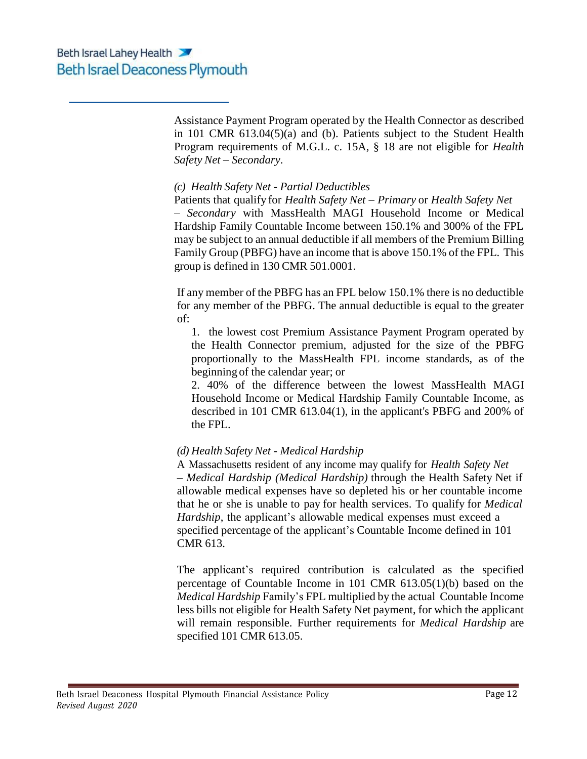Assistance Payment Program operated by the Health Connector as described in 101 CMR 613.04(5)(a) and (b). Patients subject to the Student Health Program requirements of M.G.L. c. 15A, § 18 are not eligible for *Health Safety Net – Secondary*.

### *(c) Health Safety Net - Partial Deductibles*

Patients that qualify for *Health Safety Net – Primary* or *Health Safety Net*

*– Secondary* with MassHealth MAGI Household Income or Medical Hardship Family Countable Income between 150.1% and 300% of the FPL may be subject to an annual deductible if all members of the Premium Billing Family Group (PBFG) have an income that is above 150.1% of the FPL. This group is defined in 130 CMR 501.0001.

If any member of the PBFG has an FPL below 150.1% there is no deductible for any member of the PBFG. The annual deductible is equal to the greater of:

1. the lowest cost Premium Assistance Payment Program operated by the Health Connector premium, adjusted for the size of the PBFG proportionally to the MassHealth FPL income standards, as of the beginning of the calendar year; or

2. 40% of the difference between the lowest MassHealth MAGI Household Income or Medical Hardship Family Countable Income, as described in 101 CMR 613.04(1), in the applicant's PBFG and 200% of the FPL.

### *(d) Health Safety Net - Medical Hardship*

A Massachusetts resident of any income may qualify for *Health Safety Net – Medical Hardship (Medical Hardship)* through the Health Safety Net if allowable medical expenses have so depleted his or her countable income that he or she is unable to pay for health services. To qualify for *Medical Hardship*, the applicant's allowable medical expenses must exceed a specified percentage of the applicant's Countable Income defined in 101 CMR 613.

The applicant's required contribution is calculated as the specified percentage of Countable Income in 101 CMR 613.05(1)(b) based on the *Medical Hardship* Family's FPL multiplied by the actual Countable Income less bills not eligible for Health Safety Net payment, for which the applicant will remain responsible. Further requirements for *Medical Hardship* are specified 101 CMR 613.05.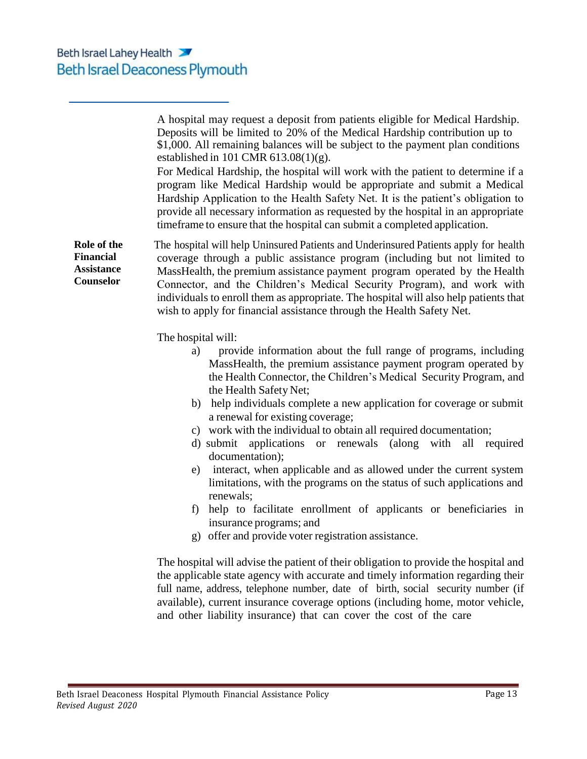**Role of the Financial Assistance Counselor** A hospital may request a deposit from patients eligible for Medical Hardship. Deposits will be limited to 20% of the Medical Hardship contribution up to \$1,000. All remaining balances will be subject to the payment plan conditions established in 101 CMR 613.08(1)(g). For Medical Hardship, the hospital will work with the patient to determine if a program like Medical Hardship would be appropriate and submit a Medical Hardship Application to the Health Safety Net. It is the patient's obligation to provide all necessary information as requested by the hospital in an appropriate timeframe to ensure that the hospital can submit a completed application. The hospital will help Uninsured Patients and Underinsured Patients apply for health coverage through a public assistance program (including but not limited to MassHealth, the premium assistance payment program operated by the Health Connector, and the Children's Medical Security Program), and work with individuals to enroll them as appropriate. The hospital will also help patients that wish to apply for financial assistance through the Health Safety Net. The hospital will: a) provide information about the full range of programs, including MassHealth, the premium assistance payment program operated by the Health Connector, the Children's Medical Security Program, and the Health Safety Net; b) help individuals complete a new application for coverage or submit a renewal for existing coverage; c) work with the individual to obtain all required documentation; d) submit applications or renewals (along with all required documentation); e) interact, when applicable and as allowed under the current system limitations, with the programs on the status of such applications and renewals; f) help to facilitate enrollment of applicants or beneficiaries in insurance programs; and g) offer and provide voter registration assistance.

The hospital will advise the patient of their obligation to provide the hospital and the applicable state agency with accurate and timely information regarding their full name, address, telephone number, date of birth, social security number (if available), current insurance coverage options (including home, motor vehicle, and other liability insurance) that can cover the cost of the care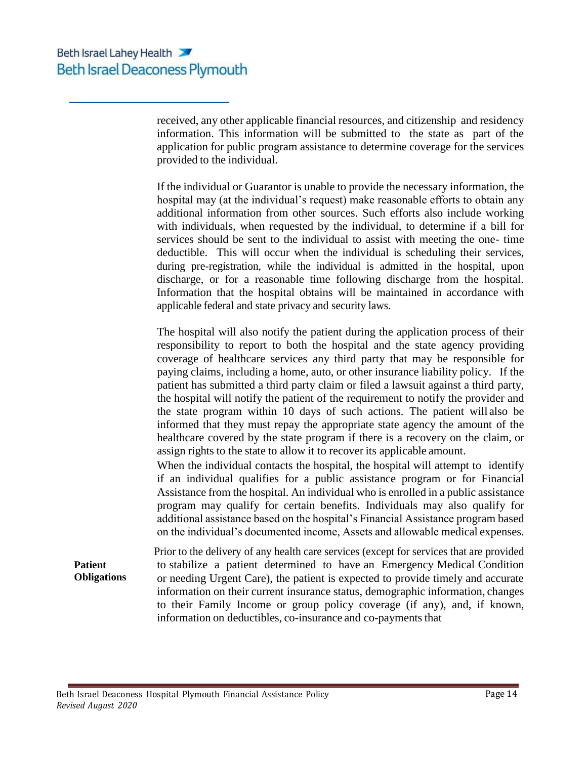received, any other applicable financial resources, and citizenship and residency information. This information will be submitted to the state as part of the application for public program assistance to determine coverage for the services provided to the individual.

If the individual or Guarantor is unable to provide the necessary information, the hospital may (at the individual's request) make reasonable efforts to obtain any additional information from other sources. Such efforts also include working with individuals, when requested by the individual, to determine if a bill for services should be sent to the individual to assist with meeting the one- time deductible. This will occur when the individual is scheduling their services, during pre-registration, while the individual is admitted in the hospital, upon discharge, or for a reasonable time following discharge from the hospital. Information that the hospital obtains will be maintained in accordance with applicable federal and state privacy and security laws.

The hospital will also notify the patient during the application process of their responsibility to report to both the hospital and the state agency providing coverage of healthcare services any third party that may be responsible for paying claims, including a home, auto, or other insurance liability policy. If the patient has submitted a third party claim or filed a lawsuit against a third party, the hospital will notify the patient of the requirement to notify the provider and the state program within 10 days of such actions. The patient will also be informed that they must repay the appropriate state agency the amount of the healthcare covered by the state program if there is a recovery on the claim, or assign rights to the state to allow it to recover its applicable amount.

When the individual contacts the hospital, the hospital will attempt to identify if an individual qualifies for a public assistance program or for Financial Assistance from the hospital. An individual who is enrolled in a public assistance program may qualify for certain benefits. Individuals may also qualify for additional assistance based on the hospital's Financial Assistance program based on the individual's documented income, Assets and allowable medical expenses.

**Obligations** Prior to the delivery of any health care services (except for services that are provided to stabilize a patient determined to have an Emergency Medical Condition or needing Urgent Care), the patient is expected to provide timely and accurate information on their current insurance status, demographic information, changes to their Family Income or group policy coverage (if any), and, if known, information on deductibles, co-insurance and co-payments that

**Patient**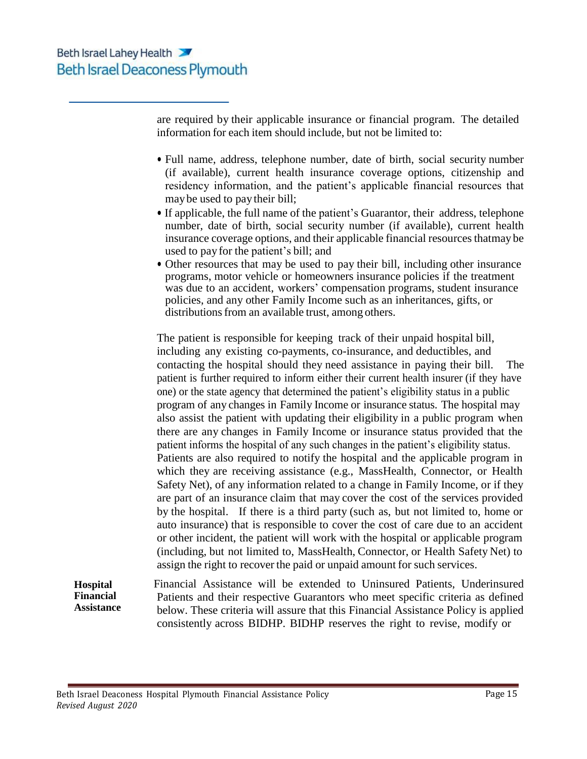are required by their applicable insurance or financial program. The detailed information for each item should include, but not be limited to:

- Full name, address, telephone number, date of birth, social security number (if available), current health insurance coverage options, citizenship and residency information, and the patient's applicable financial resources that maybe used to pay their bill;
- If applicable, the full name of the patient's Guarantor, their address, telephone number, date of birth, social security number (if available), current health insurance coverage options, and their applicable financial resources that may be used to pay for the patient's bill; and
- Other resources that may be used to pay their bill, including other insurance programs, motor vehicle or homeowners insurance policies if the treatment was due to an accident, workers' compensation programs, student insurance policies, and any other Family Income such as an inheritances, gifts, or distributions from an available trust, among others.

The patient is responsible for keeping track of their unpaid hospital bill, including any existing co-payments, co-insurance, and deductibles, and contacting the hospital should they need assistance in paying their bill. The patient is further required to inform either their current health insurer (if they have one) or the state agency that determined the patient's eligibility status in a public program of any changes in Family Income or insurance status. The hospital may also assist the patient with updating their eligibility in a public program when there are any changes in Family Income or insurance status provided that the patient informs the hospital of any such changes in the patient's eligibility status. Patients are also required to notify the hospital and the applicable program in which they are receiving assistance (e.g., MassHealth, Connector, or Health Safety Net), of any information related to a change in Family Income, or if they are part of an insurance claim that may cover the cost of the services provided by the hospital. If there is a third party (such as, but not limited to, home or auto insurance) that is responsible to cover the cost of care due to an accident or other incident, the patient will work with the hospital or applicable program (including, but not limited to, MassHealth, Connector, or Health Safety Net) to assign the right to recover the paid or unpaid amount for such services.

**Hospital Financial Assistance** Financial Assistance will be extended to Uninsured Patients, Underinsured Patients and their respective Guarantors who meet specific criteria as defined below. These criteria will assure that this Financial Assistance Policy is applied consistently across BIDHP. BIDHP reserves the right to revise, modify or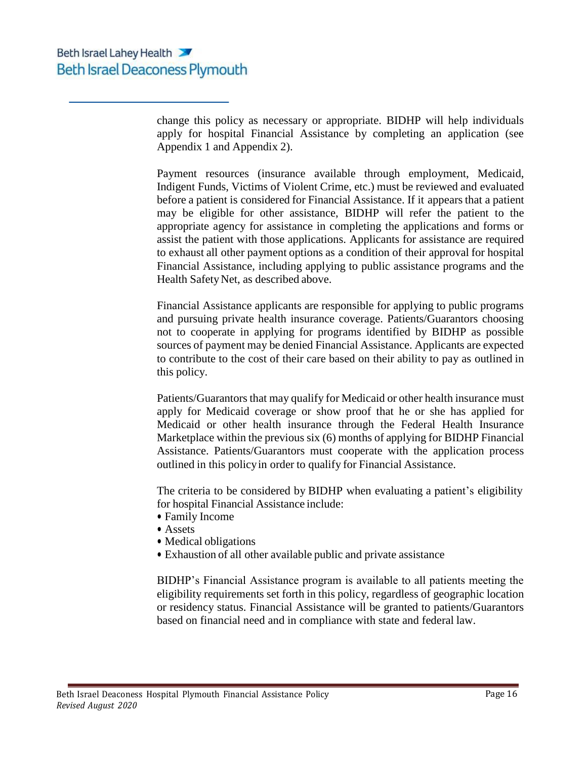change this policy as necessary or appropriate. BIDHP will help individuals apply for hospital Financial Assistance by completing an application (see Appendix 1 and Appendix 2).

Payment resources (insurance available through employment, Medicaid, Indigent Funds, Victims of Violent Crime, etc.) must be reviewed and evaluated before a patient is considered for Financial Assistance. If it appears that a patient may be eligible for other assistance, BIDHP will refer the patient to the appropriate agency for assistance in completing the applications and forms or assist the patient with those applications. Applicants for assistance are required to exhaust all other payment options as a condition of their approval for hospital Financial Assistance, including applying to public assistance programs and the Health Safety Net, as described above.

Financial Assistance applicants are responsible for applying to public programs and pursuing private health insurance coverage. Patients/Guarantors choosing not to cooperate in applying for programs identified by BIDHP as possible sources of payment may be denied Financial Assistance. Applicants are expected to contribute to the cost of their care based on their ability to pay as outlined in this policy.

Patients/Guarantors that may qualify for Medicaid or other health insurance must apply for Medicaid coverage or show proof that he or she has applied for Medicaid or other health insurance through the Federal Health Insurance Marketplace within the previous six (6) months of applying for BIDHP Financial Assistance. Patients/Guarantors must cooperate with the application process outlined in this policyin order to qualify for Financial Assistance.

The criteria to be considered by BIDHP when evaluating a patient's eligibility for hospital Financial Assistance include:

- Family Income
- Assets
- Medical obligations
- Exhaustion of all other available public and private assistance

BIDHP's Financial Assistance program is available to all patients meeting the eligibility requirements set forth in this policy, regardless of geographic location or residency status. Financial Assistance will be granted to patients/Guarantors based on financial need and in compliance with state and federal law.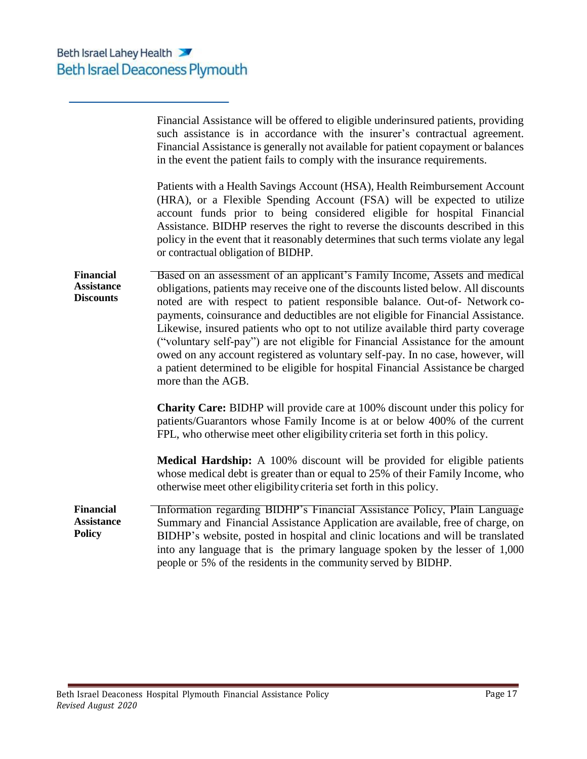|                                                           | Financial Assistance will be offered to eligible underinsured patients, providing<br>such assistance is in accordance with the insurer's contractual agreement.<br>Financial Assistance is generally not available for patient copayment or balances<br>in the event the patient fails to comply with the insurance requirements.<br>Patients with a Health Savings Account (HSA), Health Reimbursement Account<br>(HRA), or a Flexible Spending Account (FSA) will be expected to utilize<br>account funds prior to being considered eligible for hospital Financial<br>Assistance. BIDHP reserves the right to reverse the discounts described in this<br>policy in the event that it reasonably determines that such terms violate any legal<br>or contractual obligation of BIDHP. |
|-----------------------------------------------------------|----------------------------------------------------------------------------------------------------------------------------------------------------------------------------------------------------------------------------------------------------------------------------------------------------------------------------------------------------------------------------------------------------------------------------------------------------------------------------------------------------------------------------------------------------------------------------------------------------------------------------------------------------------------------------------------------------------------------------------------------------------------------------------------|
| <b>Financial</b><br><b>Assistance</b><br><b>Discounts</b> | Based on an assessment of an applicant's Family Income, Assets and medical<br>obligations, patients may receive one of the discounts listed below. All discounts<br>noted are with respect to patient responsible balance. Out-of- Network co-<br>payments, coinsurance and deductibles are not eligible for Financial Assistance.<br>Likewise, insured patients who opt to not utilize available third party coverage<br>("voluntary self-pay") are not eligible for Financial Assistance for the amount<br>owed on any account registered as voluntary self-pay. In no case, however, will<br>a patient determined to be eligible for hospital Financial Assistance be charged<br>more than the AGB.                                                                                 |
|                                                           | <b>Charity Care:</b> BIDHP will provide care at 100% discount under this policy for<br>patients/Guarantors whose Family Income is at or below 400% of the current<br>FPL, who otherwise meet other eligibility criteria set forth in this policy.                                                                                                                                                                                                                                                                                                                                                                                                                                                                                                                                      |
|                                                           | Medical Hardship: A 100% discount will be provided for eligible patients<br>whose medical debt is greater than or equal to 25% of their Family Income, who<br>otherwise meet other eligibility criteria set forth in this policy.                                                                                                                                                                                                                                                                                                                                                                                                                                                                                                                                                      |
| <b>Financial</b><br><b>Assistance</b><br><b>Policy</b>    | Information regarding BIDHP's Financial Assistance Policy, Plain Language<br>Summary and Financial Assistance Application are available, free of charge, on<br>BIDHP's website, posted in hospital and clinic locations and will be translated<br>into any language that is the primary language spoken by the lesser of 1,000<br>people or 5% of the residents in the community served by BIDHP.                                                                                                                                                                                                                                                                                                                                                                                      |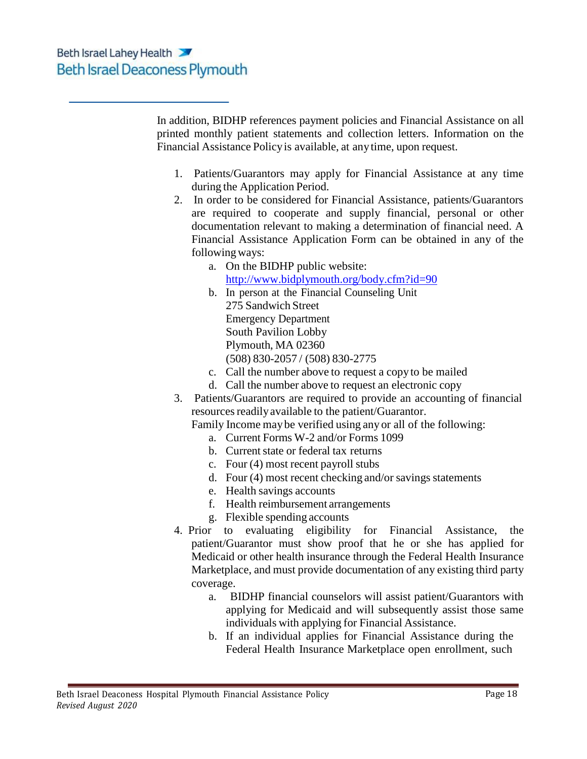In addition, BIDHP references payment policies and Financial Assistance on all printed monthly patient statements and collection letters. Information on the Financial Assistance Policyis available, at anytime, upon request.

- 1. Patients/Guarantors may apply for Financial Assistance at any time during the Application Period.
- 2. In order to be considered for Financial Assistance, patients/Guarantors are required to cooperate and supply financial, personal or other documentation relevant to making a determination of financial need. A Financial Assistance Application Form can be obtained in any of the following ways:
	- a. On the BIDHP public website: <http://www.bidplymouth.org/body.cfm?id=90>
	- b. In person at the Financial Counseling Unit 275 Sandwich Street Emergency Department South Pavilion Lobby Plymouth, MA 02360 (508) 830-2057 / (508) 830-2775
	- c. Call the number above to request a copyto be mailed
	- d. Call the number above to request an electronic copy
- 3. Patients/Guarantors are required to provide an accounting of financial resources readily available to the patient/Guarantor.
	- Family Income maybe verified using any or all of the following:
		- a. Current Forms W-2 and/or Forms 1099
		- b. Current state or federal tax returns
		- c. Four (4) most recent payroll stubs
		- d. Four (4) most recent checking and/or savings statements
		- e. Health savings accounts
		- f. Health reimbursement arrangements
		- g. Flexible spending accounts
- 4. Prior to evaluating eligibility for Financial Assistance, the patient/Guarantor must show proof that he or she has applied for Medicaid or other health insurance through the Federal Health Insurance Marketplace, and must provide documentation of any existing third party coverage.
	- a. BIDHP financial counselors will assist patient/Guarantors with applying for Medicaid and will subsequently assist those same individuals with applying for Financial Assistance.
	- b. If an individual applies for Financial Assistance during the Federal Health Insurance Marketplace open enrollment, such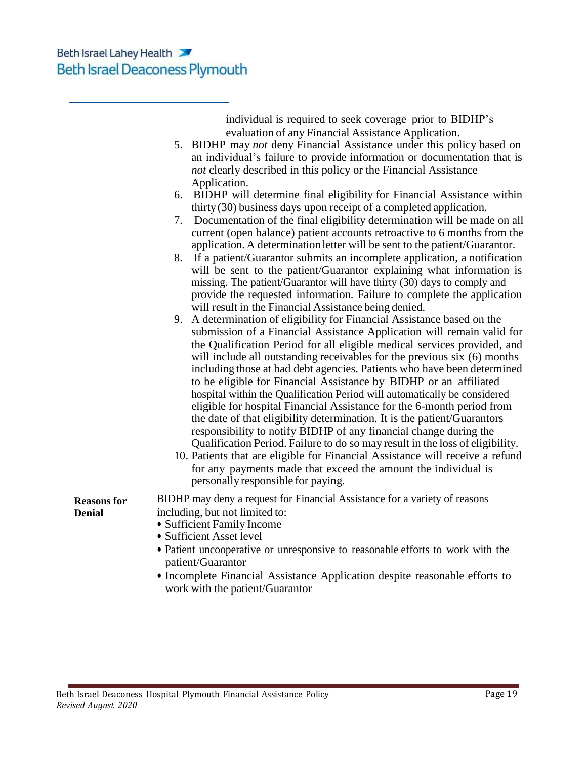individual is required to seek coverage prior to BIDHP's evaluation of any Financial Assistance Application.

- 5. BIDHP may *not* deny Financial Assistance under this policy based on an individual's failure to provide information or documentation that is *not* clearly described in this policy or the Financial Assistance Application.
- 6. BIDHP will determine final eligibility for Financial Assistance within thirty(30) business days upon receipt of a completed application.
- 7. Documentation of the final eligibility determination will be made on all current (open balance) patient accounts retroactive to 6 months from the application. A determination letter will be sent to the patient/Guarantor.
- 8. If a patient/Guarantor submits an incomplete application, a notification will be sent to the patient/Guarantor explaining what information is missing. The patient/Guarantor will have thirty (30) days to comply and provide the requested information. Failure to complete the application will result in the Financial Assistance being denied.
- 9. A determination of eligibility for Financial Assistance based on the submission of a Financial Assistance Application will remain valid for the Qualification Period for all eligible medical services provided, and will include all outstanding receivables for the previous six (6) months including those at bad debt agencies. Patients who have been determined to be eligible for Financial Assistance by BIDHP or an affiliated hospital within the Qualification Period will automatically be considered eligible for hospital Financial Assistance for the 6-month period from the date of that eligibility determination. It is the patient/Guarantors responsibility to notify BIDHP of any financial change during the Qualification Period. Failure to do so may result in the loss of eligibility.
- 10. Patients that are eligible for Financial Assistance will receive a refund for any payments made that exceed the amount the individual is personallyresponsible for paying.

**Reasons for Denial** BIDHP may deny a request for Financial Assistance for a variety of reasons including, but not limited to:

- Sufficient Family Income
- Sufficient Asset level
- Patient uncooperative or unresponsive to reasonable efforts to work with the patient/Guarantor
- Incomplete Financial Assistance Application despite reasonable efforts to work with the patient/Guarantor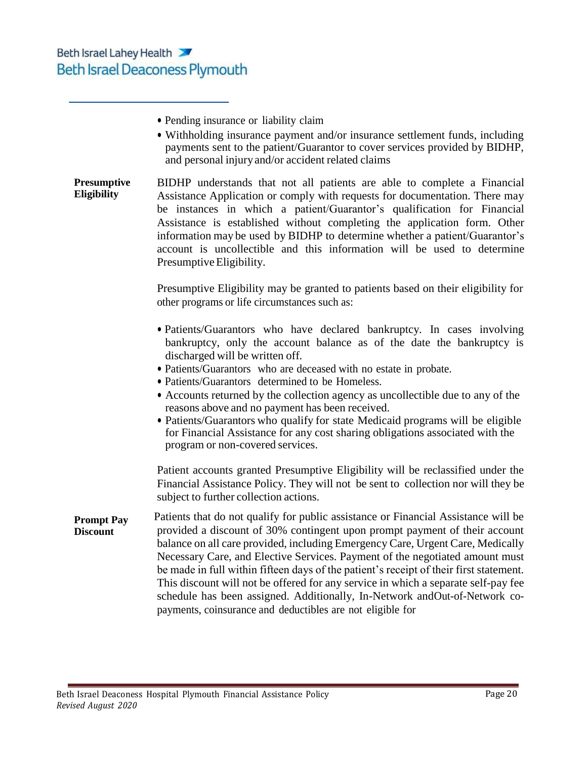|                                      | • Pending insurance or liability claim<br>• Withholding insurance payment and/or insurance settlement funds, including<br>payments sent to the patient/Guarantor to cover services provided by BIDHP,<br>and personal injury and/or accident related claims                                                                                                                                                                                                                                                                                                                                                                                              |
|--------------------------------------|----------------------------------------------------------------------------------------------------------------------------------------------------------------------------------------------------------------------------------------------------------------------------------------------------------------------------------------------------------------------------------------------------------------------------------------------------------------------------------------------------------------------------------------------------------------------------------------------------------------------------------------------------------|
| <b>Presumptive</b><br>Eligibility    | BIDHP understands that not all patients are able to complete a Financial<br>Assistance Application or comply with requests for documentation. There may<br>be instances in which a patient/Guarantor's qualification for Financial<br>Assistance is established without completing the application form. Other<br>information may be used by BIDHP to determine whether a patient/Guarantor's<br>account is uncollectible and this information will be used to determine<br>Presumptive Eligibility.                                                                                                                                                     |
|                                      | Presumptive Eligibility may be granted to patients based on their eligibility for<br>other programs or life circumstances such as:                                                                                                                                                                                                                                                                                                                                                                                                                                                                                                                       |
|                                      | • Patients/Guarantors who have declared bankruptcy. In cases involving<br>bankruptcy, only the account balance as of the date the bankruptcy is<br>discharged will be written off.<br>• Patients/Guarantors who are deceased with no estate in probate.<br>• Patients/Guarantors determined to be Homeless.<br>• Accounts returned by the collection agency as uncollectible due to any of the<br>reasons above and no payment has been received.<br>• Patients/Guarantors who qualify for state Medicaid programs will be eligible<br>for Financial Assistance for any cost sharing obligations associated with the<br>program or non-covered services. |
|                                      | Patient accounts granted Presumptive Eligibility will be reclassified under the<br>Financial Assistance Policy. They will not be sent to collection nor will they be<br>subject to further collection actions.                                                                                                                                                                                                                                                                                                                                                                                                                                           |
| <b>Prompt Pay</b><br><b>Discount</b> | Patients that do not qualify for public assistance or Financial Assistance will be<br>provided a discount of 30% contingent upon prompt payment of their account<br>balance on all care provided, including Emergency Care, Urgent Care, Medically<br>Necessary Care, and Elective Services. Payment of the negotiated amount must<br>be made in full within fifteen days of the patient's receipt of their first statement.<br>This discount will not be offered for any service in which a separate self-pay fee<br>schedule has been assigned. Additionally, In-Network andOut-of-Network co-                                                         |

payments, coinsurance and deductibles are not eligible for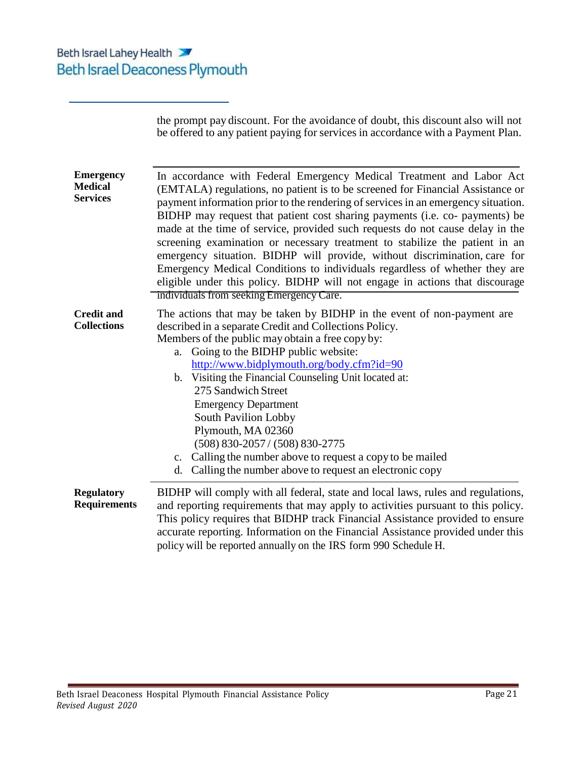|                                                       | the prompt pay discount. For the avoidance of doubt, this discount also will not<br>be offered to any patient paying for services in accordance with a Payment Plan.                                                                                                                                                                                                                                                                                                                                                                                                                                                                                                                                                                                                              |  |  |  |  |
|-------------------------------------------------------|-----------------------------------------------------------------------------------------------------------------------------------------------------------------------------------------------------------------------------------------------------------------------------------------------------------------------------------------------------------------------------------------------------------------------------------------------------------------------------------------------------------------------------------------------------------------------------------------------------------------------------------------------------------------------------------------------------------------------------------------------------------------------------------|--|--|--|--|
| <b>Emergency</b><br><b>Medical</b><br><b>Services</b> | In accordance with Federal Emergency Medical Treatment and Labor Act<br>(EMTALA) regulations, no patient is to be screened for Financial Assistance or<br>payment information prior to the rendering of services in an emergency situation.<br>BIDHP may request that patient cost sharing payments (i.e. co- payments) be<br>made at the time of service, provided such requests do not cause delay in the<br>screening examination or necessary treatment to stabilize the patient in an<br>emergency situation. BIDHP will provide, without discrimination, care for<br>Emergency Medical Conditions to individuals regardless of whether they are<br>eligible under this policy. BIDHP will not engage in actions that discourage<br>individuals from seeking Emergency Care. |  |  |  |  |
| <b>Credit and</b><br><b>Collections</b>               | The actions that may be taken by BIDHP in the event of non-payment are<br>described in a separate Credit and Collections Policy.<br>Members of the public may obtain a free copy by:<br>Going to the BIDHP public website:<br>a.<br>http://www.bidplymouth.org/body.cfm?id=90<br>Visiting the Financial Counseling Unit located at:<br>b.<br>275 Sandwich Street<br><b>Emergency Department</b><br>South Pavilion Lobby<br>Plymouth, MA 02360<br>$(508) 830 - 2057 / (508) 830 - 2775$<br>c. Calling the number above to request a copy to be mailed<br>d. Calling the number above to request an electronic copy                                                                                                                                                                 |  |  |  |  |
| <b>Regulatory</b><br><b>Requirements</b>              | BIDHP will comply with all federal, state and local laws, rules and regulations,<br>and reporting requirements that may apply to activities pursuant to this policy.<br>This policy requires that BIDHP track Financial Assistance provided to ensure<br>accurate reporting. Information on the Financial Assistance provided under this<br>policy will be reported annually on the IRS form 990 Schedule H.                                                                                                                                                                                                                                                                                                                                                                      |  |  |  |  |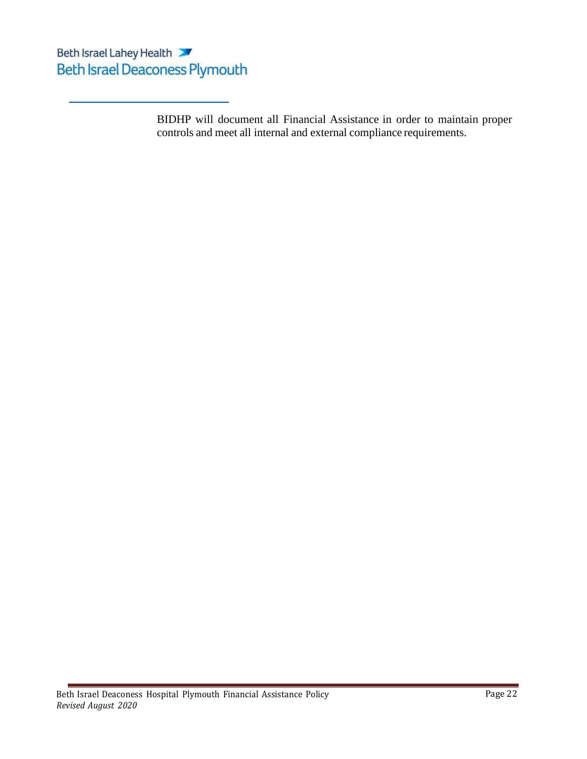BIDHP will document all Financial Assistance in order to maintain proper controls and meet all internal and external compliance requirements.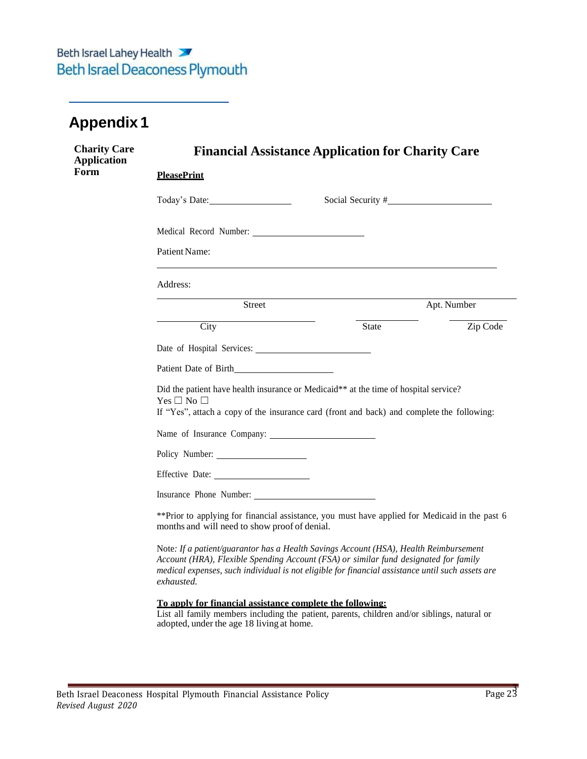## <span id="page-22-0"></span>**Appendix 1**

| <b>Charity Care</b><br><b>Application</b> | <b>Financial Assistance Application for Charity Care</b>                                                                                                                                                                                                                                        |             |
|-------------------------------------------|-------------------------------------------------------------------------------------------------------------------------------------------------------------------------------------------------------------------------------------------------------------------------------------------------|-------------|
| Form                                      | <b>PleasePrint</b>                                                                                                                                                                                                                                                                              |             |
|                                           | Social Security #<br>Today's Date:                                                                                                                                                                                                                                                              |             |
|                                           |                                                                                                                                                                                                                                                                                                 |             |
|                                           | Patient Name:                                                                                                                                                                                                                                                                                   |             |
|                                           | Address:                                                                                                                                                                                                                                                                                        |             |
|                                           | Street                                                                                                                                                                                                                                                                                          | Apt. Number |
|                                           | City<br>State                                                                                                                                                                                                                                                                                   | Zip Code    |
|                                           |                                                                                                                                                                                                                                                                                                 |             |
|                                           | Patient Date of Birth                                                                                                                                                                                                                                                                           |             |
|                                           | Did the patient have health insurance or Medicaid** at the time of hospital service?<br>Yes $\Box$ No $\Box$<br>If "Yes", attach a copy of the insurance card (front and back) and complete the following:                                                                                      |             |
|                                           | Name of Insurance Company:                                                                                                                                                                                                                                                                      |             |
|                                           | Policy Number:                                                                                                                                                                                                                                                                                  |             |
|                                           |                                                                                                                                                                                                                                                                                                 |             |
|                                           | Insurance Phone Number:                                                                                                                                                                                                                                                                         |             |
|                                           | ** Prior to applying for financial assistance, you must have applied for Medicaid in the past 6<br>months and will need to show proof of denial.                                                                                                                                                |             |
|                                           | Note: If a patient/guarantor has a Health Savings Account (HSA), Health Reimbursement<br>Account (HRA), Flexible Spending Account (FSA) or similar fund designated for family<br>medical expenses, such individual is not eligible for financial assistance until such assets are<br>exhausted. |             |

#### **To apply for financial assistance complete the following:**

List all family members including the patient, parents, children and/or siblings, natural or adopted, under the age 18 living at home.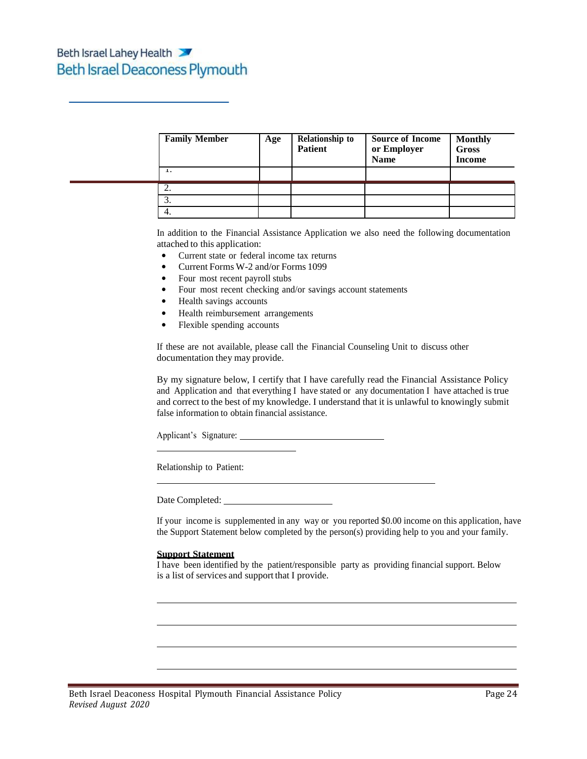| <b>Family Member</b> | Age | <b>Relationship to</b><br><b>Patient</b> | <b>Source of Income</b><br>or Employer<br><b>Name</b> | <b>Monthly</b><br><b>Gross</b><br><b>Income</b> |
|----------------------|-----|------------------------------------------|-------------------------------------------------------|-------------------------------------------------|
| 1.                   |     |                                          |                                                       |                                                 |
| 2.                   |     |                                          |                                                       |                                                 |
| 3.                   |     |                                          |                                                       |                                                 |
| 4.                   |     |                                          |                                                       |                                                 |

In addition to the Financial Assistance Application we also need the following documentation attached to this application:

- Current state or federal income tax returns
- Current Forms W-2 and/or Forms 1099
- Four most recent payroll stubs
- Four most recent checking and/or savings account statements
- Health savings accounts
- Health reimbursement arrangements
- Flexible spending accounts

If these are not available, please call the Financial Counseling Unit to discuss other documentation they may provide.

By my signature below, I certify that I have carefully read the Financial Assistance Policy and Application and that everything I have stated or any documentation I have attached is true and correct to the best of my knowledge. I understand that it is unlawful to knowingly submit false information to obtain financial assistance.

Applicant's Signature:

Relationship to Patient:

Date Completed:

If your income is supplemented in any way or you reported \$0.00 income on this application, have the Support Statement below completed by the person(s) providing help to you and your family.

#### **Support Statement**

I have been identified by the patient/responsible party as providing financial support. Below is a list of services and support that I provide.

<u> 1980 - Johann Barbara, martxa alemaniar a</u>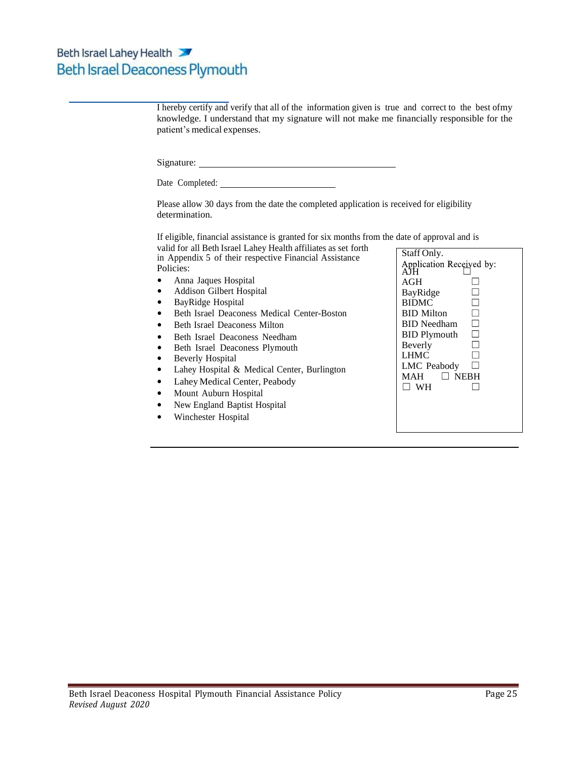| I hereby certify and verify that all of the information given is true and correct to the best ofmy<br>knowledge. I understand that my signature will not make me financially responsible for the<br>patient's medical expenses. |                                      |
|---------------------------------------------------------------------------------------------------------------------------------------------------------------------------------------------------------------------------------|--------------------------------------|
| Signature:                                                                                                                                                                                                                      |                                      |
|                                                                                                                                                                                                                                 |                                      |
| Please allow 30 days from the date the completed application is received for eligibility<br>determination.                                                                                                                      |                                      |
| If eligible, financial assistance is granted for six months from the date of approval and is                                                                                                                                    |                                      |
| valid for all Beth Israel Lahey Health affiliates as set forth<br>in Appendix 5 of their respective Financial Assistance                                                                                                        | Staff Only.                          |
| Policies:                                                                                                                                                                                                                       | Application Received by:<br>AJH      |
| Anna Jaques Hospital                                                                                                                                                                                                            | AGH                                  |
| Addison Gilbert Hospital<br>٠                                                                                                                                                                                                   | BayRidge                             |
| BayRidge Hospital                                                                                                                                                                                                               | $\Box$<br><b>BIDMC</b>               |
| Beth Israel Deaconess Medical Center-Boston                                                                                                                                                                                     | $\Box$<br><b>BID</b> Milton          |
| <b>Beth Israel Deaconess Milton</b>                                                                                                                                                                                             | $\Box$<br><b>BID</b> Needham         |
| Beth Israel Deaconess Needham<br>$\bullet$                                                                                                                                                                                      | $\Box$<br><b>BID Plymouth</b>        |
| Beth Israel Deaconess Plymouth                                                                                                                                                                                                  | Beverly<br>П                         |
| Beverly Hospital                                                                                                                                                                                                                | <b>LHMC</b><br>$\Box$<br>LMC Peabody |
| Lahey Hospital & Medical Center, Burlington<br>٠                                                                                                                                                                                | MAH<br><b>NEBH</b><br>$\perp$        |
| Lahey Medical Center, Peabody<br>٠                                                                                                                                                                                              | $\Box$ WH                            |
| Mount Auburn Hospital                                                                                                                                                                                                           |                                      |
| New England Baptist Hospital                                                                                                                                                                                                    |                                      |
| Winchester Hospital                                                                                                                                                                                                             |                                      |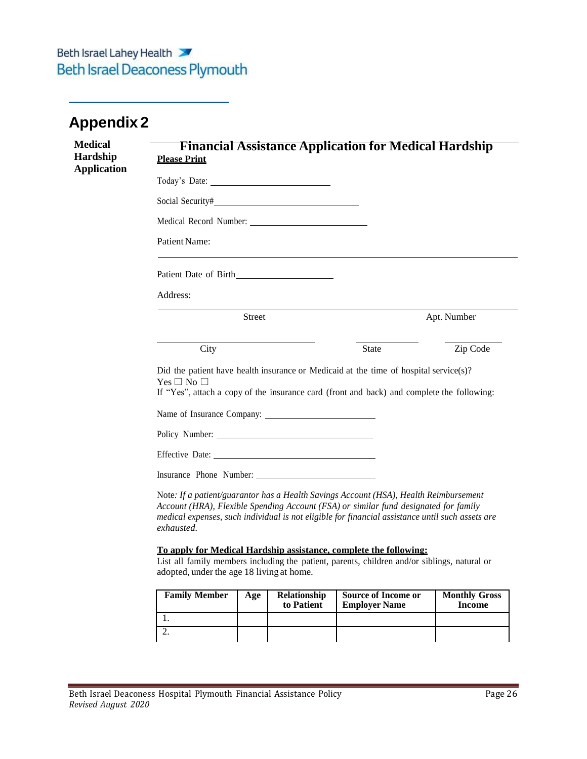## <span id="page-25-0"></span>**Appendix 2**

| <b>Medical</b><br>Hardship<br><b>Application</b> | <b>Please Print</b>                                                                                                                                                                                                                                                                             |                            |                                   | <b>Financial Assistance Application for Medical Hardship</b>                                                                                                      |                                       |  |  |  |
|--------------------------------------------------|-------------------------------------------------------------------------------------------------------------------------------------------------------------------------------------------------------------------------------------------------------------------------------------------------|----------------------------|-----------------------------------|-------------------------------------------------------------------------------------------------------------------------------------------------------------------|---------------------------------------|--|--|--|
|                                                  |                                                                                                                                                                                                                                                                                                 |                            |                                   |                                                                                                                                                                   |                                       |  |  |  |
|                                                  |                                                                                                                                                                                                                                                                                                 |                            |                                   |                                                                                                                                                                   |                                       |  |  |  |
|                                                  |                                                                                                                                                                                                                                                                                                 |                            |                                   |                                                                                                                                                                   |                                       |  |  |  |
|                                                  | Patient Name:                                                                                                                                                                                                                                                                                   |                            |                                   |                                                                                                                                                                   |                                       |  |  |  |
|                                                  |                                                                                                                                                                                                                                                                                                 |                            |                                   |                                                                                                                                                                   |                                       |  |  |  |
|                                                  | Address:                                                                                                                                                                                                                                                                                        |                            |                                   |                                                                                                                                                                   |                                       |  |  |  |
|                                                  |                                                                                                                                                                                                                                                                                                 | Street                     |                                   |                                                                                                                                                                   | Apt. Number                           |  |  |  |
|                                                  | City                                                                                                                                                                                                                                                                                            |                            |                                   | State                                                                                                                                                             | Zip Code                              |  |  |  |
|                                                  | Did the patient have health insurance or Medicaid at the time of hospital service(s)?<br>$Yes \Box No \Box$<br>If "Yes", attach a copy of the insurance card (front and back) and complete the following:                                                                                       |                            |                                   |                                                                                                                                                                   |                                       |  |  |  |
|                                                  |                                                                                                                                                                                                                                                                                                 | Name of Insurance Company: |                                   |                                                                                                                                                                   |                                       |  |  |  |
|                                                  |                                                                                                                                                                                                                                                                                                 |                            |                                   |                                                                                                                                                                   |                                       |  |  |  |
|                                                  | Effective Date:                                                                                                                                                                                                                                                                                 |                            |                                   |                                                                                                                                                                   |                                       |  |  |  |
|                                                  |                                                                                                                                                                                                                                                                                                 |                            |                                   |                                                                                                                                                                   |                                       |  |  |  |
|                                                  | Note: If a patient/guarantor has a Health Savings Account (HSA), Health Reimbursement<br>Account (HRA), Flexible Spending Account (FSA) or similar fund designated for family<br>medical expenses, such individual is not eligible for financial assistance until such assets are<br>exhausted. |                            |                                   |                                                                                                                                                                   |                                       |  |  |  |
|                                                  | adopted, under the age 18 living at home.                                                                                                                                                                                                                                                       |                            |                                   | To apply for Medical Hardship assistance, complete the following:<br>List all family members including the patient, parents, children and/or siblings, natural or |                                       |  |  |  |
|                                                  | <b>Family Member</b>                                                                                                                                                                                                                                                                            | Age                        | <b>Relationship</b><br>to Patient | <b>Source of Income or</b><br><b>Employer Name</b>                                                                                                                | <b>Monthly Gross</b><br><b>Income</b> |  |  |  |
|                                                  | 1.                                                                                                                                                                                                                                                                                              |                            |                                   |                                                                                                                                                                   |                                       |  |  |  |
|                                                  | $\overline{2}$ .                                                                                                                                                                                                                                                                                |                            |                                   |                                                                                                                                                                   |                                       |  |  |  |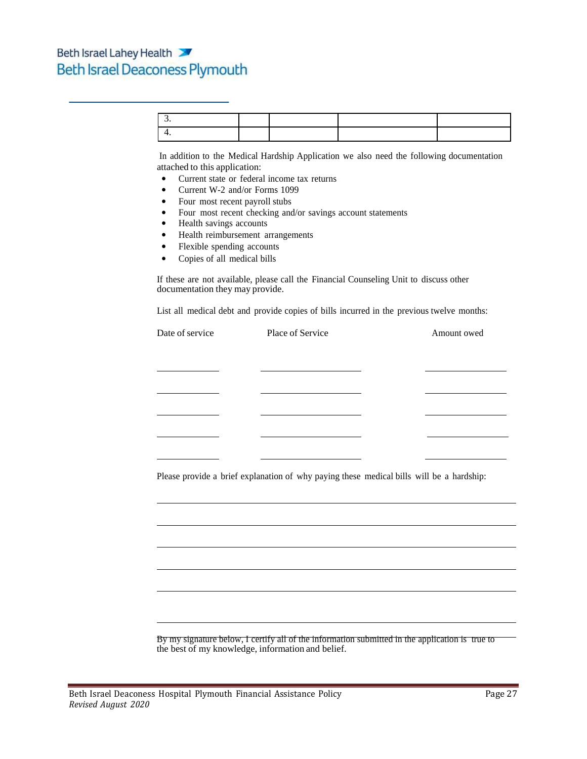In addition to the Medical Hardship Application we also need the following documentation attached to this application:

- Current state or federal income tax returns
- Current W-2 and/or Forms 1099
- Four most recent payroll stubs
- Four most recent checking and/or savings account statements
- Health savings accounts
- Health reimbursement arrangements
- Flexible spending accounts
- Copies of all medical bills

If these are not available, please call the Financial Counseling Unit to discuss other documentation they may provide.

List all medical debt and provide copies of bills incurred in the previous twelve months:

| Date of service | Place of Service                                                                         | Amount owed                               |
|-----------------|------------------------------------------------------------------------------------------|-------------------------------------------|
|                 |                                                                                          |                                           |
|                 | <u> 1989 - Johann Barn, mars eta bainar eta idazlea (</u>                                | the control of the control of the control |
|                 | <u> 1989 - Johann Barn, amerikansk politiker (</u>                                       |                                           |
|                 | <u> 1989 - Johann Barbara, martxa alemaniar a</u>                                        |                                           |
|                 |                                                                                          |                                           |
|                 |                                                                                          |                                           |
|                 |                                                                                          |                                           |
|                 | Please provide a brief explanation of why paying these medical bills will be a hardship: |                                           |
|                 |                                                                                          |                                           |
|                 |                                                                                          |                                           |
|                 |                                                                                          |                                           |
|                 |                                                                                          |                                           |
|                 |                                                                                          |                                           |
|                 |                                                                                          |                                           |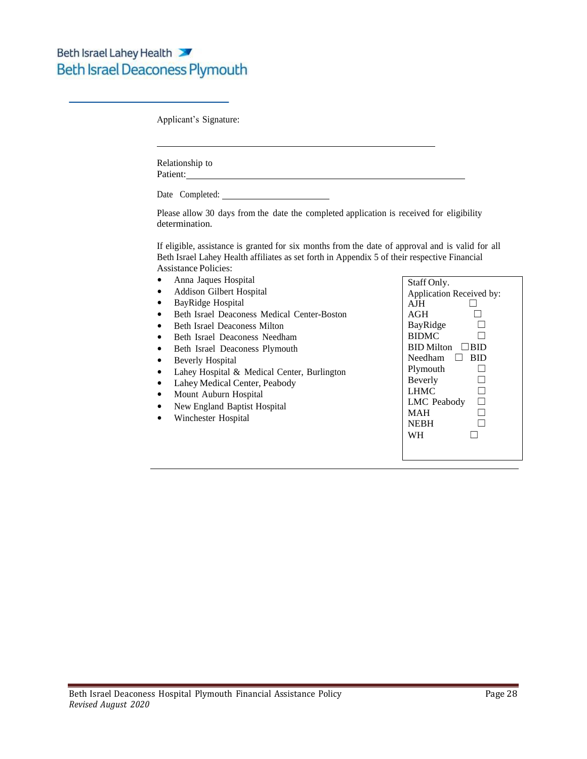Applicant's Signature:

Relationship to Patient:

Date Completed:

Please allow 30 days from the date the completed application is received for eligibility determination.

If eligible, assistance is granted for six months from the date of approval and is valid for all Beth Israel Lahey Health affiliates as set forth in Appendix 5 of their respective Financial Assistance Policies:

- Anna Jaques Hospital
- Addison Gilbert Hospital
- BayRidge Hospital
- Beth Israel Deaconess Medical Center-Boston
- Beth Israel Deaconess Milton
- Beth Israel Deaconess Needham
- Beth Israel Deaconess Plymouth
- Beverly Hospital
- Lahey Hospital & Medical Center, Burlington
- Lahey Medical Center, Peabody
- Mount Auburn Hospital
- New England Baptist Hospital
- Winchester Hospital

| Staff Only.                  |
|------------------------------|
| Application Received by:     |
| $A$ J $H$                    |
| AGH                          |
| BayRidge                     |
| <b>BIDMC</b>                 |
| <b>BID Milton</b><br>⊟ I BID |
| Needham<br>BID<br>ΙI         |
| Plymouth                     |
| Beverly                      |
| <b>LHMC</b>                  |
| <b>LMC</b> Peabody           |
| MAH                          |
| <b>NEBH</b>                  |
| WН                           |
|                              |
|                              |
|                              |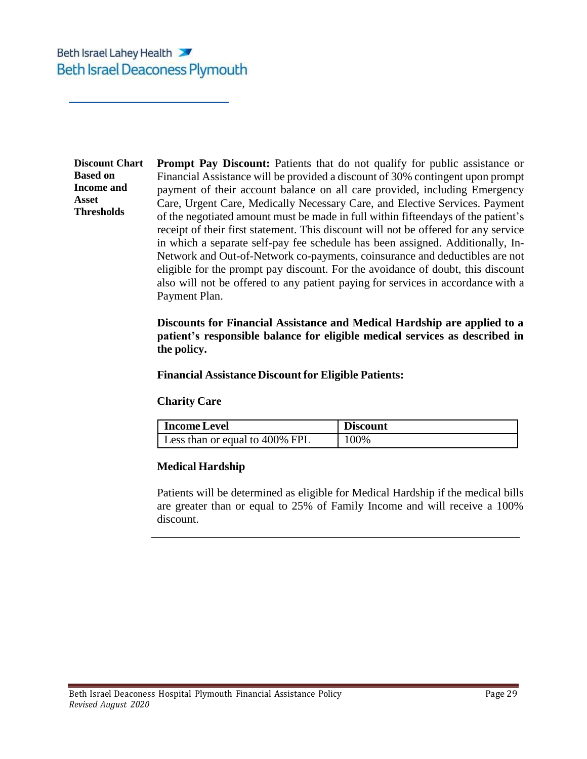**Discount Chart Based on Income and Asset Thresholds**

**Prompt Pay Discount:** Patients that do not qualify for public assistance or Financial Assistance will be provided a discount of 30% contingent upon prompt payment of their account balance on all care provided, including Emergency Care, Urgent Care, Medically Necessary Care, and Elective Services. Payment of the negotiated amount must be made in full within fifteendays of the patient's receipt of their first statement. This discount will not be offered for any service in which a separate self-pay fee schedule has been assigned. Additionally, In-Network and Out-of-Network co-payments, coinsurance and deductibles are not eligible for the prompt pay discount. For the avoidance of doubt, this discount also will not be offered to any patient paying for services in accordance with a Payment Plan.

**Discounts for Financial Assistance and Medical Hardship are applied to a patient's responsible balance for eligible medical services as described in the policy.**

**Financial Assistance Discount for Eligible Patients:**

### **Charity Care**

| <b>Income Level</b>            | <b>Discount</b> |
|--------------------------------|-----------------|
| Less than or equal to 400% FPL | 100%            |

### **Medical Hardship**

Patients will be determined as eligible for Medical Hardship if the medical bills are greater than or equal to 25% of Family Income and will receive a 100% discount.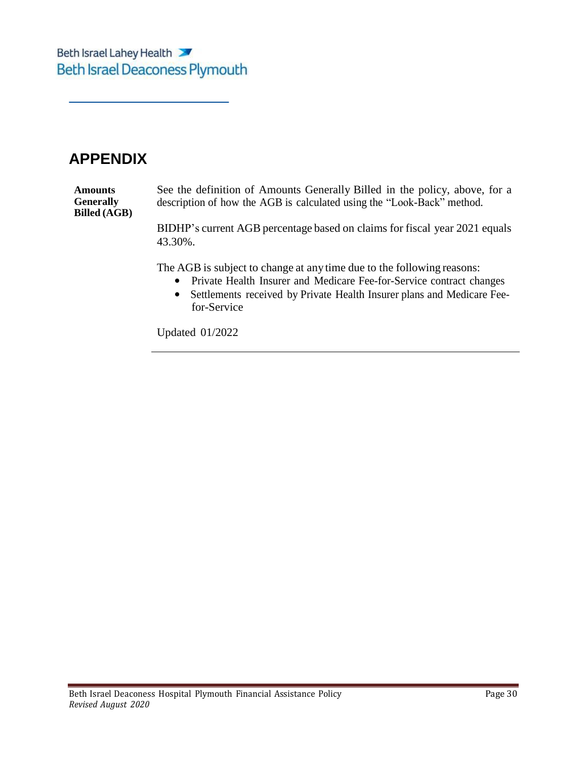## **APPENDIX**

**Amounts Generally Billed (AGB)** See the definition of Amounts Generally Billed in the policy, above, for a description of how the AGB is calculated using the "Look-Back" method.

> BIDHP's current AGB percentage based on claims for fiscal year 2021 equals 43.30%.

The AGB is subject to change at any time due to the following reasons:

- Private Health Insurer and Medicare Fee-for-Service contract changes
- Settlements received by Private Health Insurer plans and Medicare Feefor-Service

Updated 01/2022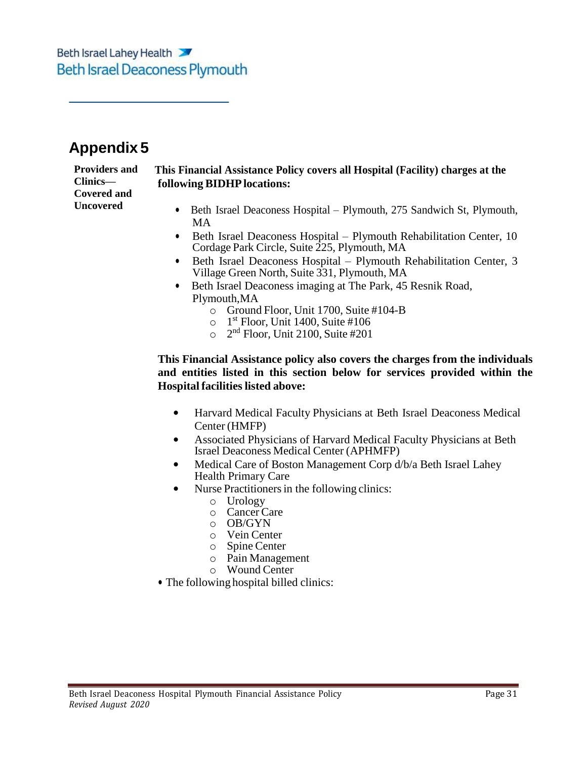## <span id="page-30-0"></span>**Appendix 5**

**Clinics— Covered and Uncovered**

#### **Providers and This Financial Assistance Policy covers all Hospital (Facility) charges at the following BIDHPlocations:**

- Beth Israel Deaconess Hospital Plymouth, 275 Sandwich St, Plymouth, MA
- Beth Israel Deaconess Hospital Plymouth Rehabilitation Center, 10 Cordage Park Circle, Suite 225, Plymouth, MA
- Beth Israel Deaconess Hospital Plymouth Rehabilitation Center, 3 Village Green North, Suite 331, Plymouth, MA
- Beth Israel Deaconess imaging at The Park, 45 Resnik Road, Plymouth,MA
	- o Ground Floor, Unit 1700, Suite #104-B
	- $\circ$  1<sup>st</sup> Floor, Unit 1400, Suite #106
	- $\circ$  2<sup>nd</sup> Floor, Unit 2100, Suite #201

### **This Financial Assistance policy also covers the charges from the individuals and entities listed in this section below for services provided within the Hospital facilities listed above:**

- Harvard Medical Faculty Physicians at Beth Israel Deaconess Medical Center (HMFP)
- Associated Physicians of Harvard Medical Faculty Physicians at Beth Israel Deaconess Medical Center (APHMFP)
- Medical Care of Boston Management Corp d/b/a Beth Israel Lahey Health Primary Care
- Nurse Practitioners in the following clinics:
	- o Urology
	- o Cancer Care
	- o OB/GYN
	- o Vein Center
	- o Spine Center
	- o Pain Management
	- o Wound Center
- The following hospital billed clinics: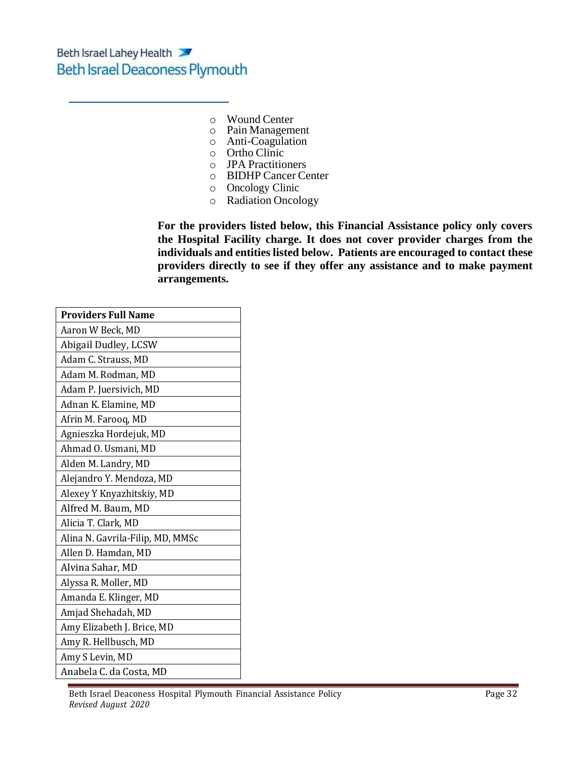- o Wound Center
- o Pain Management
- o Anti-Coagulation
- o Ortho Clinic
- o JPA Practitioners
- o BIDHP Cancer Center
- o Oncology Clinic
- o Radiation Oncology

**For the providers listed below, this Financial Assistance policy only covers the Hospital Facility charge. It does not cover provider charges from the individuals and entities listed below. Patients are encouraged to contact these providers directly to see if they offer any assistance and to make payment arrangements.**

| <b>Providers Full Name</b>       |
|----------------------------------|
| Aaron W Beck, MD                 |
| Abigail Dudley, LCSW             |
| Adam C. Strauss, MD              |
| Adam M. Rodman, MD               |
| Adam P. Juersivich, MD           |
| Adnan K. Elamine, MD             |
| Afrin M. Farooq, MD              |
| Agnieszka Hordejuk, MD           |
| Ahmad O. Usmani, MD              |
| Alden M. Landry, MD              |
| Alejandro Y. Mendoza, MD         |
| Alexey Y Knyazhitskiy, MD        |
| Alfred M. Baum, MD               |
| Alicia T. Clark, MD              |
| Alina N. Gavrila-Filip, MD, MMSc |
| Allen D. Hamdan, MD              |
| Alvina Sahar, MD                 |
| Alyssa R. Moller, MD             |
| Amanda E. Klinger, MD            |
| Amjad Shehadah, MD               |
| Amy Elizabeth J. Brice, MD       |
| Amy R. Hellbusch, MD             |
| Amy S Levin, MD                  |
| Anabela C. da Costa, MD          |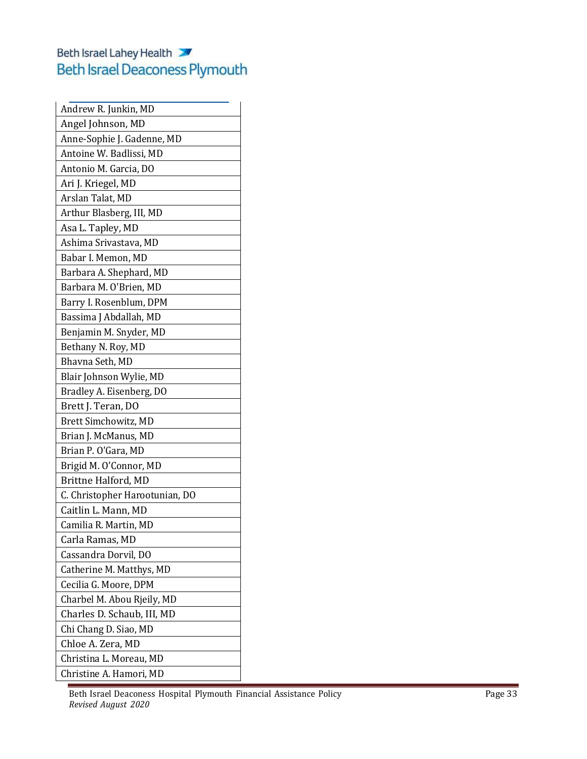| Andrew R. Junkin, MD           |
|--------------------------------|
| Angel Johnson, MD              |
| Anne-Sophie J. Gadenne, MD     |
| Antoine W. Badlissi, MD        |
| Antonio M. Garcia, DO          |
| Ari J. Kriegel, MD             |
| Arslan Talat, MD               |
| Arthur Blasberg, III, MD       |
| Asa L. Tapley, MD              |
| Ashima Srivastava, MD          |
| Babar I. Memon, MD             |
| Barbara A. Shephard, MD        |
| Barbara M. O'Brien, MD         |
| Barry I. Rosenblum, DPM        |
| Bassima J Abdallah, MD         |
| Benjamin M. Snyder, MD         |
| Bethany N. Roy, MD             |
| Bhavna Seth, MD                |
| Blair Johnson Wylie, MD        |
| Bradley A. Eisenberg, DO       |
| Brett J. Teran, DO             |
| Brett Simchowitz, MD           |
| Brian J. McManus, MD           |
| Brian P. O'Gara, MD            |
| Brigid M. O'Connor, MD         |
| Brittne Halford, MD            |
| C. Christopher Harootunian, DO |
| Caitlin L. Mann, MD            |
| Camilia R. Martin, MD          |
| Carla Ramas, MD                |
| Cassandra Dorvil, DO           |
| Catherine M. Matthys, MD       |
| Cecilia G. Moore, DPM          |
| Charbel M. Abou Rjeily, MD     |
| Charles D. Schaub, III, MD     |
| Chi Chang D. Siao, MD          |
| Chloe A. Zera, MD              |
| Christina L. Moreau, MD        |
| Christine A. Hamori, MD        |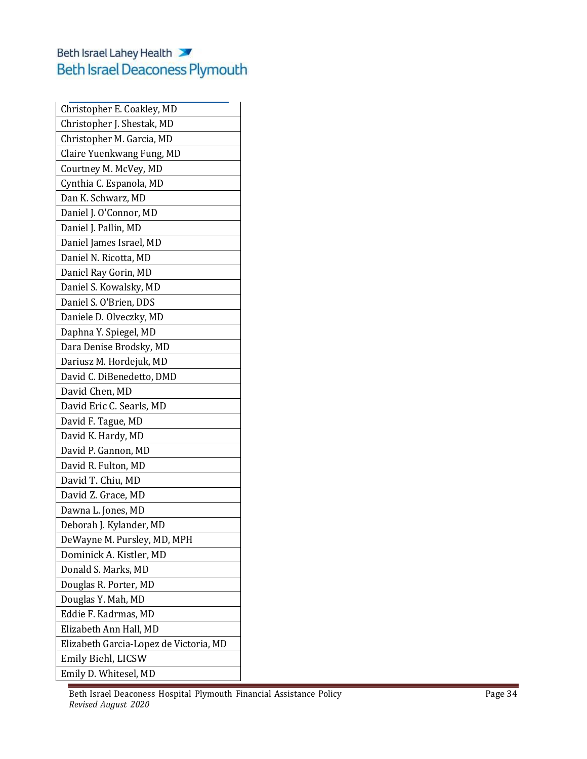| Christopher E. Coakley, MD             |
|----------------------------------------|
| Christopher J. Shestak, MD             |
| Christopher M. Garcia, MD              |
| Claire Yuenkwang Fung, MD              |
| Courtney M. McVey, MD                  |
| Cynthia C. Espanola, MD                |
| Dan K. Schwarz, MD                     |
| Daniel J. O'Connor, MD                 |
| Daniel J. Pallin, MD                   |
| Daniel James Israel, MD                |
| Daniel N. Ricotta, MD                  |
| Daniel Ray Gorin, MD                   |
| Daniel S. Kowalsky, MD                 |
| Daniel S. O'Brien, DDS                 |
| Daniele D. Olveczky, MD                |
| Daphna Y. Spiegel, MD                  |
| Dara Denise Brodsky, MD                |
| Dariusz M. Hordejuk, MD                |
| David C. DiBenedetto, DMD              |
| David Chen, MD                         |
| David Eric C. Searls, MD               |
| David F. Tague, MD                     |
| David K. Hardy, MD                     |
| David P. Gannon, MD                    |
| David R. Fulton, MD                    |
| David T. Chiu, MD                      |
| David Z. Grace, MD                     |
| Dawna L. Jones, MD                     |
| Deborah J. Kylander, MD                |
| DeWayne M. Pursley, MD, MPH            |
| Dominick A. Kistler, MD                |
| Donald S. Marks, MD                    |
| Douglas R. Porter, MD                  |
| Douglas Y. Mah, MD                     |
| Eddie F. Kadrmas, MD                   |
| Elizabeth Ann Hall, MD                 |
| Elizabeth Garcia-Lopez de Victoria, MD |
| Emily Biehl, LICSW                     |
| Emily D. Whitesel, MD                  |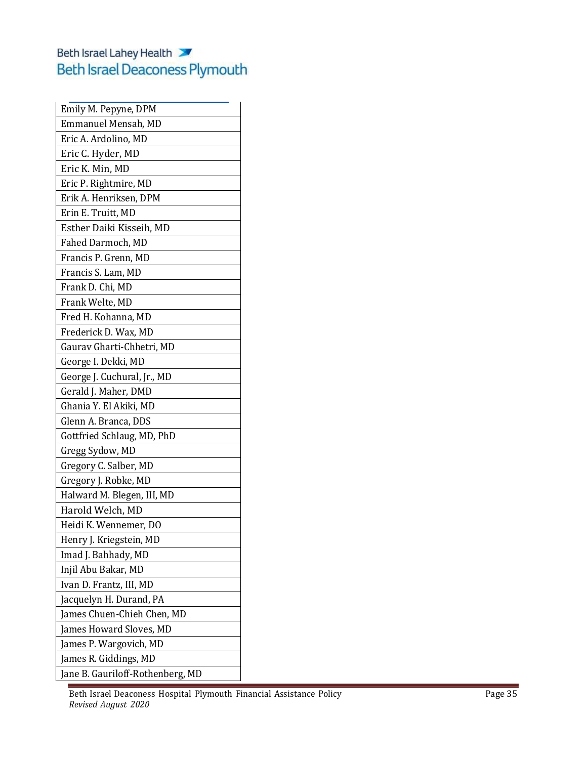| Emily M. Pepyne, DPM             |
|----------------------------------|
| Emmanuel Mensah, MD              |
| Eric A. Ardolino, MD             |
| Eric C. Hyder, MD                |
| Eric K. Min, MD                  |
| Eric P. Rightmire, MD            |
| Erik A. Henriksen, DPM           |
| Erin E. Truitt, MD               |
| Esther Daiki Kisseih, MD         |
| Fahed Darmoch, MD                |
| Francis P. Grenn, MD             |
| Francis S. Lam, MD               |
| Frank D. Chi, MD                 |
| Frank Welte, MD                  |
| Fred H. Kohanna, MD              |
| Frederick D. Wax, MD             |
| Gaurav Gharti-Chhetri, MD        |
| George I. Dekki, MD              |
| George J. Cuchural, Jr., MD      |
| Gerald J. Maher, DMD             |
| Ghania Y. El Akiki, MD           |
| Glenn A. Branca, DDS             |
| Gottfried Schlaug, MD, PhD       |
| Gregg Sydow, MD                  |
| Gregory C. Salber, MD            |
| Gregory J. Robke, MD             |
| Halward M. Blegen, III, MD       |
| Harold Welch, MD                 |
| Heidi K. Wennemer, DO            |
| Henry J. Kriegstein, MD          |
| Imad J. Bahhady, MD              |
| Injil Abu Bakar, MD              |
| Ivan D. Frantz, III, MD          |
| Jacquelyn H. Durand, PA          |
| James Chuen-Chieh Chen, MD       |
| James Howard Sloves, MD          |
| James P. Wargovich, MD           |
| James R. Giddings, MD            |
| Jane B. Gauriloff-Rothenberg, MD |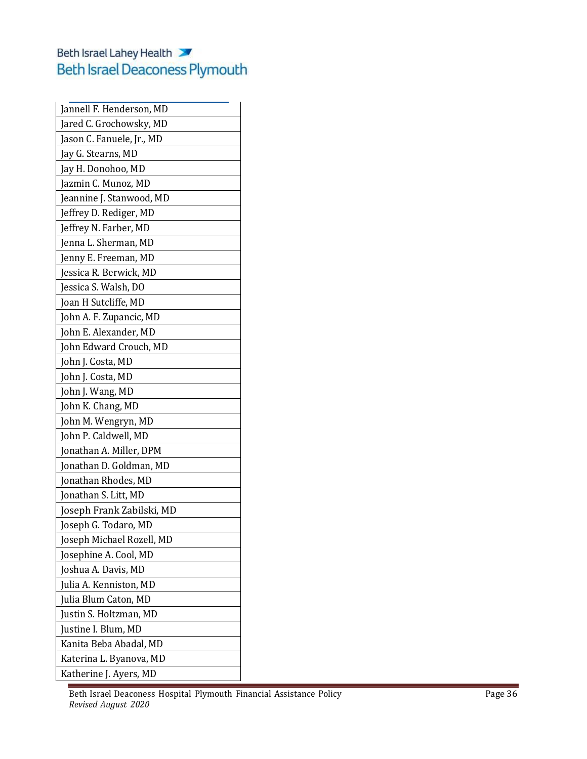| Jannell F. Henderson, MD  |
|---------------------------|
| Jared C. Grochowsky, MD   |
| Jason C. Fanuele, Jr., MD |
| Jay G. Stearns, MD        |
| Jay H. Donohoo, MD        |
| Jazmin C. Munoz, MD       |
| Jeannine J. Stanwood, MD  |
| Jeffrey D. Rediger, MD    |
| Jeffrey N. Farber, MD     |
| Jenna L. Sherman, MD      |
| Jenny E. Freeman, MD      |
| Jessica R. Berwick, MD    |
| Jessica S. Walsh, DO      |
| Joan H Sutcliffe, MD      |
| John A. F. Zupancic, MD   |
| John E. Alexander, MD     |
| John Edward Crouch, MD    |
| John J. Costa, MD         |
| John J. Costa, MD         |
| John J. Wang, MD          |
| John K. Chang, MD         |
| John M. Wengryn, MD       |
| John P. Caldwell, MD      |
| Jonathan A. Miller, DPM   |
| Jonathan D. Goldman, MD   |
| Jonathan Rhodes, MD       |
| Jonathan S. Litt, MD      |
| Joseph Frank Zabilski, MD |
| Joseph G. Todaro, MD      |
| Joseph Michael Rozell, MD |
| Josephine A. Cool, MD     |
| Joshua A. Davis, MD       |
| Julia A. Kenniston, MD    |
| Julia Blum Caton, MD      |
| Justin S. Holtzman, MD    |
| Justine I. Blum, MD       |
| Kanita Beba Abadal, MD    |
| Katerina L. Byanova, MD   |
| Katherine J. Ayers, MD    |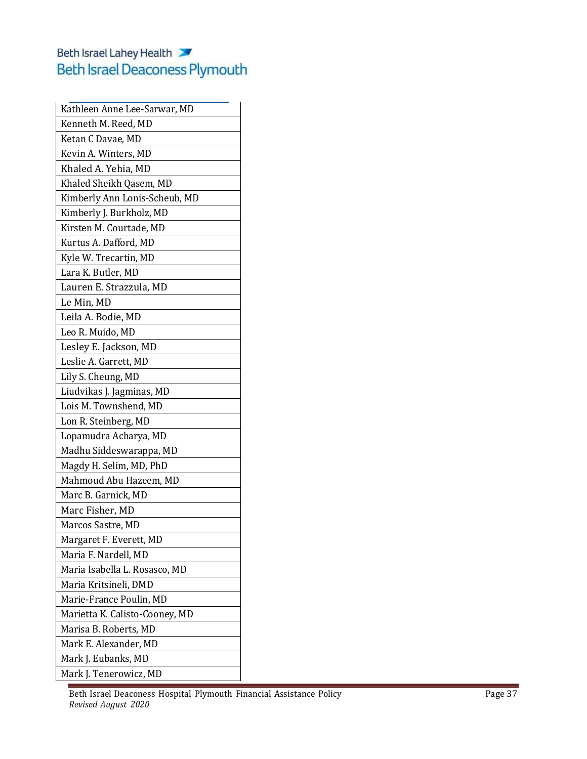| Kathleen Anne Lee-Sarwar, MD   |
|--------------------------------|
| Kenneth M. Reed, MD            |
| Ketan C Davae, MD              |
| Kevin A. Winters, MD           |
| Khaled A. Yehia, MD            |
| Khaled Sheikh Qasem, MD        |
| Kimberly Ann Lonis-Scheub, MD  |
| Kimberly J. Burkholz, MD       |
| Kirsten M. Courtade, MD        |
| Kurtus A. Dafford, MD          |
| Kyle W. Trecartin, MD          |
| Lara K. Butler, MD             |
| Lauren E. Strazzula, MD        |
| Le Min, MD                     |
| Leila A. Bodie, MD             |
| Leo R. Muido, MD               |
| Lesley E. Jackson, MD          |
| Leslie A. Garrett, MD          |
| Lily S. Cheung, MD             |
| Liudvikas J. Jagminas, MD      |
| Lois M. Townshend, MD          |
| Lon R. Steinberg, MD           |
| Lopamudra Acharya, MD          |
| Madhu Siddeswarappa, MD        |
| Magdy H. Selim, MD, PhD        |
| Mahmoud Abu Hazeem, MD         |
| Marc B. Garnick, MD            |
| Marc Fisher, MD                |
| Marcos Sastre, MD              |
| Margaret F. Everett, MD        |
| Maria F. Nardell, MD           |
| Maria Isabella L. Rosasco, MD  |
| Maria Kritsineli, DMD          |
| Marie-France Poulin, MD        |
| Marietta K. Calisto-Cooney, MD |
| Marisa B. Roberts, MD          |
| Mark E. Alexander, MD          |
| Mark J. Eubanks, MD            |
| Mark J. Tenerowicz, MD         |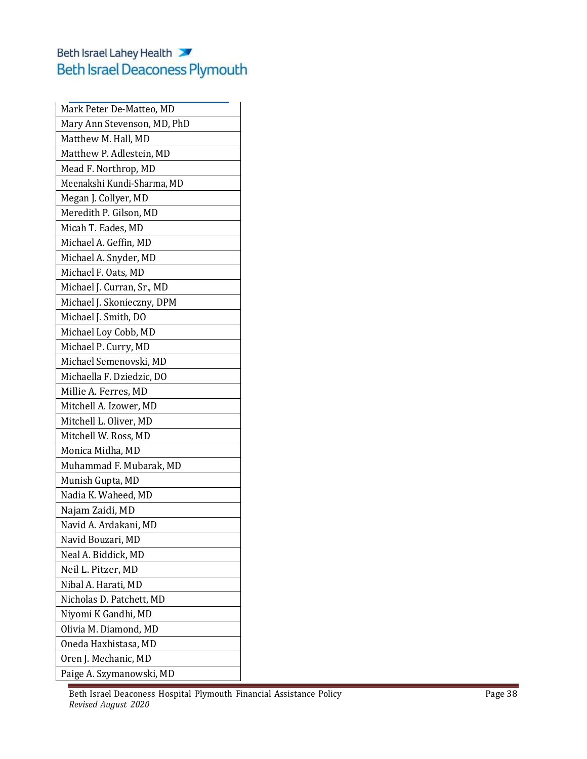| Mark Peter De-Matteo, MD    |
|-----------------------------|
| Mary Ann Stevenson, MD, PhD |
| Matthew M. Hall, MD         |
| Matthew P. Adlestein, MD    |
| Mead F. Northrop, MD        |
| Meenakshi Kundi-Sharma, MD  |
| Megan J. Collyer, MD        |
| Meredith P. Gilson, MD      |
| Micah T. Eades, MD          |
| Michael A. Geffin, MD       |
| Michael A. Snyder, MD       |
| Michael F. Oats, MD         |
| Michael J. Curran, Sr., MD  |
| Michael J. Skonieczny, DPM  |
| Michael J. Smith, DO        |
| Michael Loy Cobb, MD        |
| Michael P. Curry, MD        |
| Michael Semenovski, MD      |
| Michaella F. Dziedzic, DO   |
| Millie A. Ferres, MD        |
| Mitchell A. Izower, MD      |
| Mitchell L. Oliver, MD      |
| Mitchell W. Ross, MD        |
| Monica Midha, MD            |
| Muhammad F. Mubarak, MD     |
| Munish Gupta, MD            |
| Nadia K. Waheed, MD         |
| Najam Zaidi, MD             |
| Navid A. Ardakani, MD       |
| Navid Bouzari, MD           |
| Neal A. Biddick, MD         |
| Neil L. Pitzer, MD          |
| Nibal A. Harati, MD         |
| Nicholas D. Patchett, MD    |
| Niyomi K Gandhi, MD         |
| Olivia M. Diamond, MD       |
| Oneda Haxhistasa, MD        |
| Oren J. Mechanic, MD        |
| Paige A. Szymanowski, MD    |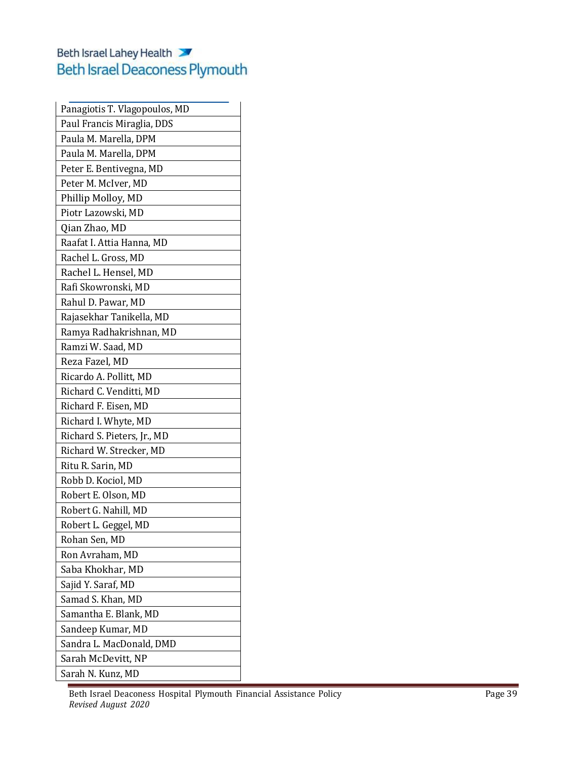| Panagiotis T. Vlagopoulos, MD |
|-------------------------------|
| Paul Francis Miraglia, DDS    |
| Paula M. Marella, DPM         |
| Paula M. Marella, DPM         |
| Peter E. Bentivegna, MD       |
| Peter M. McIver, MD           |
| Phillip Molloy, MD            |
| Piotr Lazowski, MD            |
| Qian Zhao, MD                 |
| Raafat I. Attia Hanna, MD     |
| Rachel L. Gross, MD           |
| Rachel L. Hensel, MD          |
| Rafi Skowronski, MD           |
| Rahul D. Pawar, MD            |
| Rajasekhar Tanikella, MD      |
| Ramya Radhakrishnan, MD       |
| Ramzi W. Saad, MD             |
| Reza Fazel, MD                |
| Ricardo A. Pollitt, MD        |
| Richard C. Venditti, MD       |
| Richard F. Eisen, MD          |
| Richard I. Whyte, MD          |
| Richard S. Pieters, Jr., MD   |
| Richard W. Strecker, MD       |
| Ritu R. Sarin, MD             |
| Robb D. Kociol, MD            |
| Robert E. Olson, MD           |
| Robert G. Nahill, MD          |
| Robert L. Geggel, MD          |
| Rohan Sen, MD                 |
| Ron Avraham, MD               |
| Saba Khokhar, MD              |
| Sajid Y. Saraf, MD            |
| Samad S. Khan, MD             |
| Samantha E. Blank, MD         |
| Sandeep Kumar, MD             |
| Sandra L. MacDonald, DMD      |
| Sarah McDevitt, NP            |
| Sarah N. Kunz, MD             |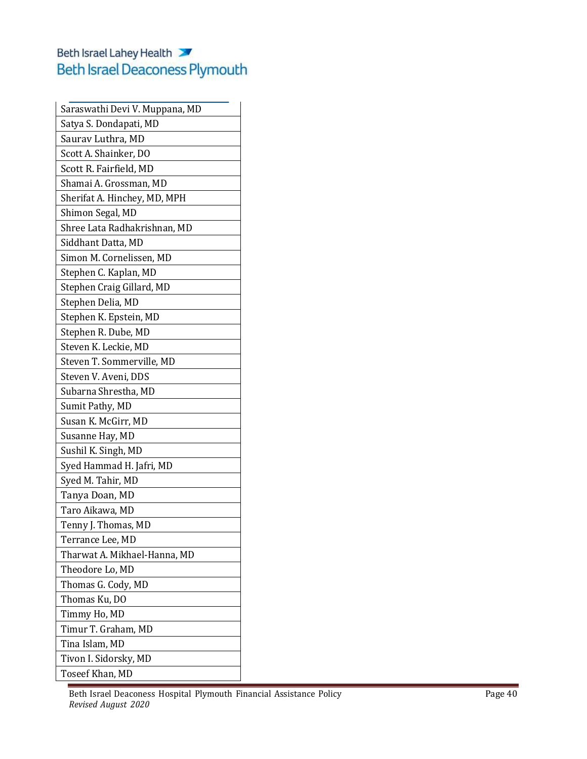| Saraswathi Devi V. Muppana, MD |
|--------------------------------|
| Satya S. Dondapati, MD         |
| Saurav Luthra, MD              |
| Scott A. Shainker, DO          |
| Scott R. Fairfield, MD         |
| Shamai A. Grossman, MD         |
| Sherifat A. Hinchey, MD, MPH   |
| Shimon Segal, MD               |
| Shree Lata Radhakrishnan, MD   |
| Siddhant Datta, MD             |
| Simon M. Cornelissen, MD       |
| Stephen C. Kaplan, MD          |
| Stephen Craig Gillard, MD      |
| Stephen Delia, MD              |
| Stephen K. Epstein, MD         |
| Stephen R. Dube, MD            |
| Steven K. Leckie, MD           |
| Steven T. Sommerville, MD      |
| Steven V. Aveni, DDS           |
| Subarna Shrestha, MD           |
| Sumit Pathy, MD                |
| Susan K. McGirr, MD            |
| Susanne Hay, MD                |
| Sushil K. Singh, MD            |
| Syed Hammad H. Jafri, MD       |
| Syed M. Tahir, MD              |
| Tanya Doan, MD                 |
| Taro Aikawa, MD                |
| Tenny J. Thomas, MD            |
| Terrance Lee, MD               |
| Tharwat A. Mikhael-Hanna, MD   |
| Theodore Lo, MD                |
| Thomas G. Cody, MD             |
| Thomas Ku, DO                  |
| Timmy Ho, MD                   |
| Timur T. Graham, MD            |
| Tina Islam, MD                 |
| Tivon I. Sidorsky, MD          |
| Toseef Khan, MD                |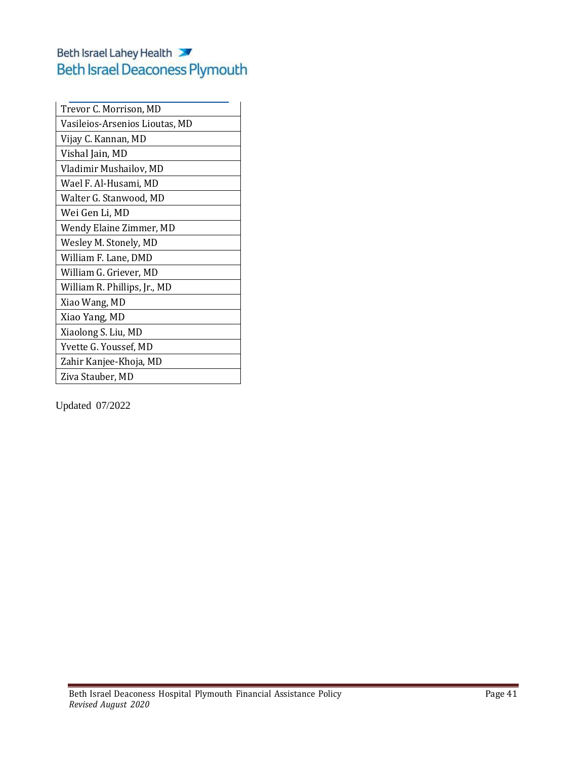| Trevor C. Morrison, MD         |
|--------------------------------|
| Vasileios-Arsenios Lioutas, MD |
| Vijay C. Kannan, MD            |
| Vishal Jain, MD                |
| Vladimir Mushailov, MD         |
| Wael F. Al-Husami, MD          |
| Walter G. Stanwood, MD         |
| Wei Gen Li, MD                 |
| Wendy Elaine Zimmer, MD        |
| Wesley M. Stonely, MD          |
| William F. Lane, DMD           |
| William G. Griever, MD         |
| William R. Phillips, Jr., MD   |
| Xiao Wang, MD                  |
| Xiao Yang, MD                  |
| Xiaolong S. Liu, MD            |
| Yvette G. Youssef, MD          |
| Zahir Kanjee-Khoja, MD         |
| Ziva Stauber, MD               |
|                                |

Updated 07/2022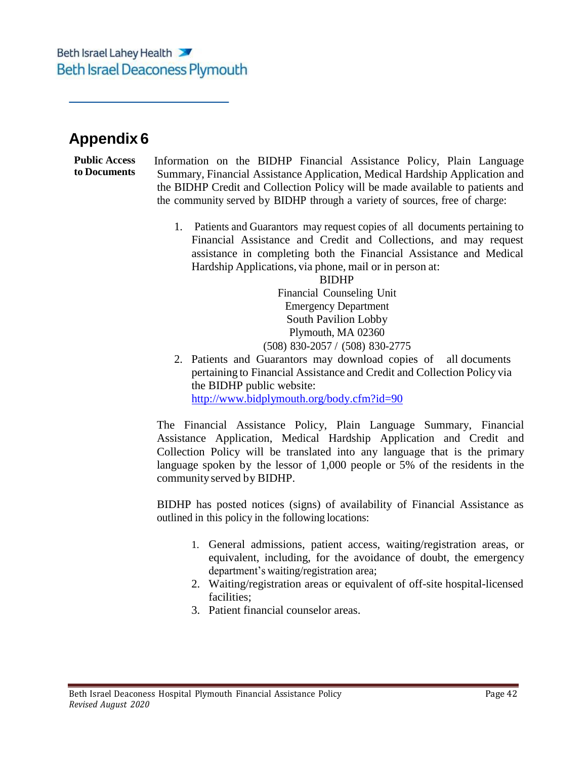## **Appendix 6**

#### **Public Access to Documents**

Information on the BIDHP Financial Assistance Policy, Plain Language Summary, Financial Assistance Application, Medical Hardship Application and the BIDHP Credit and Collection Policy will be made available to patients and the community served by BIDHP through a variety of sources, free of charge:

1. Patients and Guarantors may request copies of all documents pertaining to Financial Assistance and Credit and Collections, and may request assistance in completing both the Financial Assistance and Medical Hardship Applications, via phone, mail or in person at:

BIDHP Financial Counseling Unit Emergency Department South Pavilion Lobby

Plymouth, MA 02360 (508) 830-2057 / (508) 830-2775

2. Patients and Guarantors may download copies of all documents pertaining to Financial Assistance and Credit and Collection Policy via the BIDHP public website: <http://www.bidplymouth.org/body.cfm?id=90>

The Financial Assistance Policy, Plain Language Summary, Financial Assistance Application, Medical Hardship Application and Credit and Collection Policy will be translated into any language that is the primary language spoken by the lessor of 1,000 people or 5% of the residents in the communityserved by BIDHP.

BIDHP has posted notices (signs) of availability of Financial Assistance as outlined in this policy in the following locations:

- 1. General admissions, patient access, waiting/registration areas, or equivalent, including, for the avoidance of doubt, the emergency department's waiting/registration area;
- 2. Waiting/registration areas or equivalent of off-site hospital-licensed facilities;
- 3. Patient financial counselor areas.